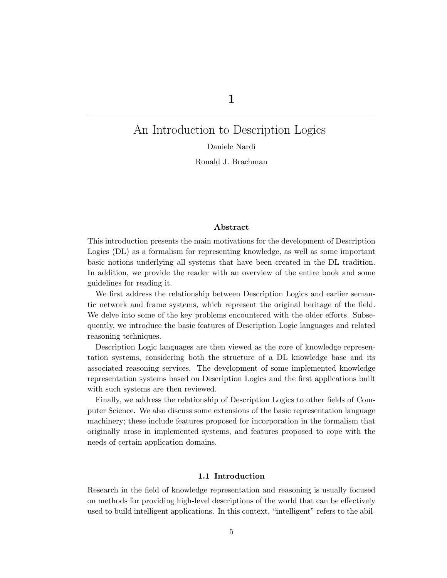# 1

# An Introduction to Description Logics Daniele Nardi Ronald J. Brachman

#### Abstract

This introduction presents the main motivations for the development of Description Logics (DL) as a formalism for representing knowledge, as well as some important basic notions underlying all systems that have been created in the DL tradition. In addition, we provide the reader with an overview of the entire book and some guidelines for reading it.

We first address the relationship between Description Logics and earlier semantic network and frame systems, which represent the original heritage of the field. We delve into some of the key problems encountered with the older efforts. Subsequently, we introduce the basic features of Description Logic languages and related reasoning techniques.

Description Logic languages are then viewed as the core of knowledge representation systems, considering both the structure of a DL knowledge base and its associated reasoning services. The development of some implemented knowledge representation systems based on Description Logics and the first applications built with such systems are then reviewed.

Finally, we address the relationship of Description Logics to other fields of Computer Science. We also discuss some extensions of the basic representation language machinery; these include features proposed for incorporation in the formalism that originally arose in implemented systems, and features proposed to cope with the needs of certain application domains.

#### 1.1 Introduction

Research in the field of knowledge representation and reasoning is usually focused on methods for providing high-level descriptions of the world that can be effectively used to build intelligent applications. In this context, "intelligent" refers to the abil-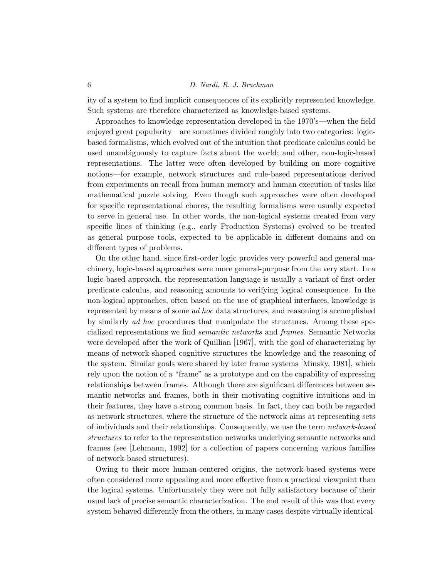ity of a system to find implicit consequences of its explicitly represented knowledge. Such systems are therefore characterized as knowledge-based systems.

Approaches to knowledge representation developed in the 1970's—when the field enjoyed great popularity—are sometimes divided roughly into two categories: logicbased formalisms, which evolved out of the intuition that predicate calculus could be used unambiguously to capture facts about the world; and other, non-logic-based representations. The latter were often developed by building on more cognitive notions—for example, network structures and rule-based representations derived from experiments on recall from human memory and human execution of tasks like mathematical puzzle solving. Even though such approaches were often developed for specific representational chores, the resulting formalisms were usually expected to serve in general use. In other words, the non-logical systems created from very specific lines of thinking (e.g., early Production Systems) evolved to be treated as general purpose tools, expected to be applicable in different domains and on different types of problems.

On the other hand, since first-order logic provides very powerful and general machinery, logic-based approaches were more general-purpose from the very start. In a logic-based approach, the representation language is usually a variant of first-order predicate calculus, and reasoning amounts to verifying logical consequence. In the non-logical approaches, often based on the use of graphical interfaces, knowledge is represented by means of some ad hoc data structures, and reasoning is accomplished by similarly ad hoc procedures that manipulate the structures. Among these specialized representations we find semantic networks and frames. Semantic Networks were developed after the work of Quillian [1967], with the goal of characterizing by means of network-shaped cognitive structures the knowledge and the reasoning of the system. Similar goals were shared by later frame systems [Minsky, 1981], which rely upon the notion of a "frame" as a prototype and on the capability of expressing relationships between frames. Although there are significant differences between semantic networks and frames, both in their motivating cognitive intuitions and in their features, they have a strong common basis. In fact, they can both be regarded as network structures, where the structure of the network aims at representing sets of individuals and their relationships. Consequently, we use the term network-based structures to refer to the representation networks underlying semantic networks and frames (see [Lehmann, 1992] for a collection of papers concerning various families of network-based structures).

Owing to their more human-centered origins, the network-based systems were often considered more appealing and more effective from a practical viewpoint than the logical systems. Unfortunately they were not fully satisfactory because of their usual lack of precise semantic characterization. The end result of this was that every system behaved differently from the others, in many cases despite virtually identical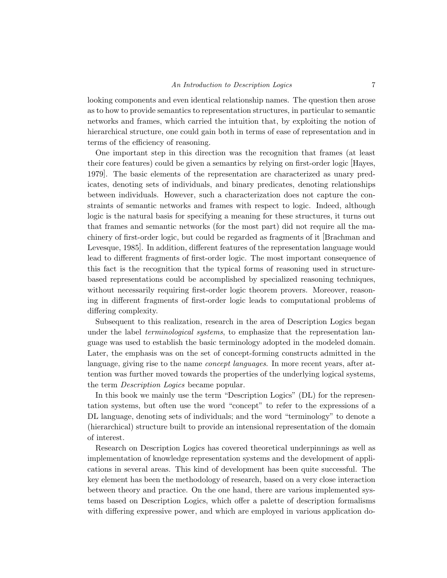looking components and even identical relationship names. The question then arose as to how to provide semantics to representation structures, in particular to semantic networks and frames, which carried the intuition that, by exploiting the notion of hierarchical structure, one could gain both in terms of ease of representation and in terms of the efficiency of reasoning.

One important step in this direction was the recognition that frames (at least their core features) could be given a semantics by relying on first-order logic [Hayes, 1979]. The basic elements of the representation are characterized as unary predicates, denoting sets of individuals, and binary predicates, denoting relationships between individuals. However, such a characterization does not capture the constraints of semantic networks and frames with respect to logic. Indeed, although logic is the natural basis for specifying a meaning for these structures, it turns out that frames and semantic networks (for the most part) did not require all the machinery of first-order logic, but could be regarded as fragments of it [Brachman and Levesque, 1985]. In addition, different features of the representation language would lead to different fragments of first-order logic. The most important consequence of this fact is the recognition that the typical forms of reasoning used in structurebased representations could be accomplished by specialized reasoning techniques, without necessarily requiring first-order logic theorem provers. Moreover, reasoning in different fragments of first-order logic leads to computational problems of differing complexity.

Subsequent to this realization, research in the area of Description Logics began under the label *terminological systems*, to emphasize that the representation language was used to establish the basic terminology adopted in the modeled domain. Later, the emphasis was on the set of concept-forming constructs admitted in the language, giving rise to the name *concept languages*. In more recent years, after attention was further moved towards the properties of the underlying logical systems, the term *Description Logics* became popular.

In this book we mainly use the term "Description Logics" (DL) for the representation systems, but often use the word "concept" to refer to the expressions of a DL language, denoting sets of individuals; and the word "terminology" to denote a (hierarchical) structure built to provide an intensional representation of the domain of interest.

Research on Description Logics has covered theoretical underpinnings as well as implementation of knowledge representation systems and the development of applications in several areas. This kind of development has been quite successful. The key element has been the methodology of research, based on a very close interaction between theory and practice. On the one hand, there are various implemented systems based on Description Logics, which offer a palette of description formalisms with differing expressive power, and which are employed in various application do-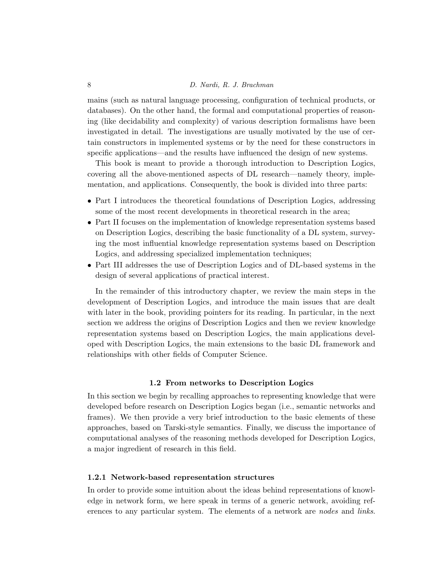mains (such as natural language processing, configuration of technical products, or databases). On the other hand, the formal and computational properties of reasoning (like decidability and complexity) of various description formalisms have been investigated in detail. The investigations are usually motivated by the use of certain constructors in implemented systems or by the need for these constructors in specific applications—and the results have influenced the design of new systems.

This book is meant to provide a thorough introduction to Description Logics, covering all the above-mentioned aspects of DL research—namely theory, implementation, and applications. Consequently, the book is divided into three parts:

- Part I introduces the theoretical foundations of Description Logics, addressing some of the most recent developments in theoretical research in the area;
- Part II focuses on the implementation of knowledge representation systems based on Description Logics, describing the basic functionality of a DL system, surveying the most influential knowledge representation systems based on Description Logics, and addressing specialized implementation techniques;
- Part III addresses the use of Description Logics and of DL-based systems in the design of several applications of practical interest.

In the remainder of this introductory chapter, we review the main steps in the development of Description Logics, and introduce the main issues that are dealt with later in the book, providing pointers for its reading. In particular, in the next section we address the origins of Description Logics and then we review knowledge representation systems based on Description Logics, the main applications developed with Description Logics, the main extensions to the basic DL framework and relationships with other fields of Computer Science.

#### 1.2 From networks to Description Logics

In this section we begin by recalling approaches to representing knowledge that were developed before research on Description Logics began (i.e., semantic networks and frames). We then provide a very brief introduction to the basic elements of these approaches, based on Tarski-style semantics. Finally, we discuss the importance of computational analyses of the reasoning methods developed for Description Logics, a major ingredient of research in this field.

#### 1.2.1 Network-based representation structures

In order to provide some intuition about the ideas behind representations of knowledge in network form, we here speak in terms of a generic network, avoiding references to any particular system. The elements of a network are nodes and links.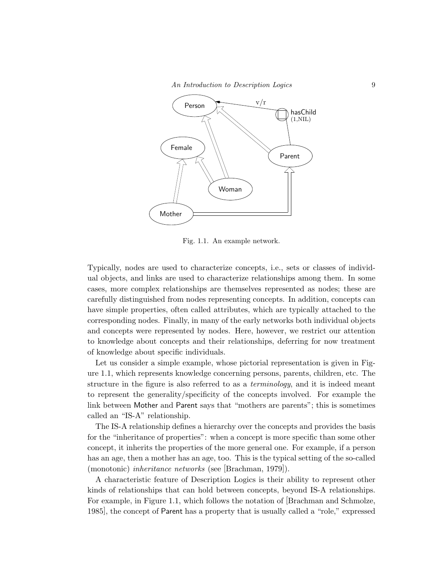An Introduction to Description Logics 9



Fig. 1.1. An example network.

Typically, nodes are used to characterize concepts, i.e., sets or classes of individual objects, and links are used to characterize relationships among them. In some cases, more complex relationships are themselves represented as nodes; these are carefully distinguished from nodes representing concepts. In addition, concepts can have simple properties, often called attributes, which are typically attached to the corresponding nodes. Finally, in many of the early networks both individual objects and concepts were represented by nodes. Here, however, we restrict our attention to knowledge about concepts and their relationships, deferring for now treatment of knowledge about specific individuals.

Let us consider a simple example, whose pictorial representation is given in Figure 1.1, which represents knowledge concerning persons, parents, children, etc. The structure in the figure is also referred to as a *terminology*, and it is indeed meant to represent the generality/specificity of the concepts involved. For example the link between Mother and Parent says that "mothers are parents"; this is sometimes called an "IS-A" relationship.

The IS-A relationship defines a hierarchy over the concepts and provides the basis for the "inheritance of properties": when a concept is more specific than some other concept, it inherits the properties of the more general one. For example, if a person has an age, then a mother has an age, too. This is the typical setting of the so-called (monotonic) inheritance networks (see [Brachman, 1979]).

A characteristic feature of Description Logics is their ability to represent other kinds of relationships that can hold between concepts, beyond IS-A relationships. For example, in Figure 1.1, which follows the notation of [Brachman and Schmolze, 1985], the concept of Parent has a property that is usually called a "role," expressed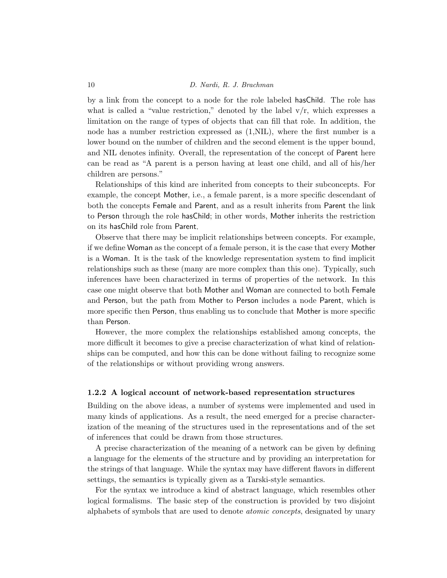by a link from the concept to a node for the role labeled hasChild. The role has what is called a "value restriction," denoted by the label  $v/r$ , which expresses a limitation on the range of types of objects that can fill that role. In addition, the node has a number restriction expressed as (1,NIL), where the first number is a lower bound on the number of children and the second element is the upper bound, and NIL denotes infinity. Overall, the representation of the concept of Parent here can be read as "A parent is a person having at least one child, and all of his/her children are persons."

Relationships of this kind are inherited from concepts to their subconcepts. For example, the concept Mother, i.e., a female parent, is a more specific descendant of both the concepts Female and Parent, and as a result inherits from Parent the link to Person through the role hasChild; in other words, Mother inherits the restriction on its hasChild role from Parent.

Observe that there may be implicit relationships between concepts. For example, if we define Woman as the concept of a female person, it is the case that every Mother is a Woman. It is the task of the knowledge representation system to find implicit relationships such as these (many are more complex than this one). Typically, such inferences have been characterized in terms of properties of the network. In this case one might observe that both Mother and Woman are connected to both Female and Person, but the path from Mother to Person includes a node Parent, which is more specific then Person, thus enabling us to conclude that Mother is more specific than Person.

However, the more complex the relationships established among concepts, the more difficult it becomes to give a precise characterization of what kind of relationships can be computed, and how this can be done without failing to recognize some of the relationships or without providing wrong answers.

#### 1.2.2 A logical account of network-based representation structures

Building on the above ideas, a number of systems were implemented and used in many kinds of applications. As a result, the need emerged for a precise characterization of the meaning of the structures used in the representations and of the set of inferences that could be drawn from those structures.

A precise characterization of the meaning of a network can be given by defining a language for the elements of the structure and by providing an interpretation for the strings of that language. While the syntax may have different flavors in different settings, the semantics is typically given as a Tarski-style semantics.

For the syntax we introduce a kind of abstract language, which resembles other logical formalisms. The basic step of the construction is provided by two disjoint alphabets of symbols that are used to denote atomic concepts, designated by unary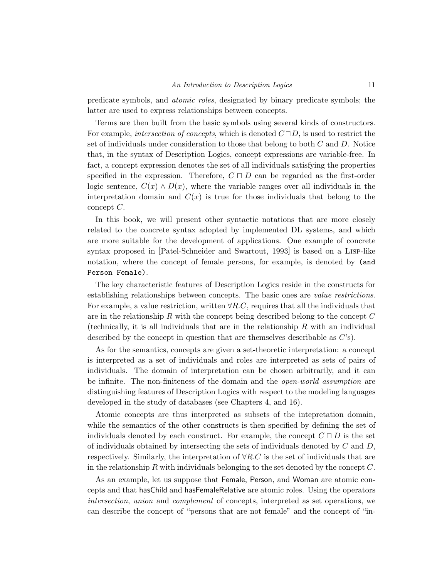predicate symbols, and atomic roles, designated by binary predicate symbols; the latter are used to express relationships between concepts.

Terms are then built from the basic symbols using several kinds of constructors. For example, intersection of concepts, which is denoted  $C \sqcap D$ , is used to restrict the set of individuals under consideration to those that belong to both  $C$  and  $D$ . Notice that, in the syntax of Description Logics, concept expressions are variable-free. In fact, a concept expression denotes the set of all individuals satisfying the properties specified in the expression. Therefore,  $C \sqcap D$  can be regarded as the first-order logic sentence,  $C(x) \wedge D(x)$ , where the variable ranges over all individuals in the interpretation domain and  $C(x)$  is true for those individuals that belong to the concept C.

In this book, we will present other syntactic notations that are more closely related to the concrete syntax adopted by implemented DL systems, and which are more suitable for the development of applications. One example of concrete syntax proposed in [Patel-Schneider and Swartout, 1993] is based on a Lisp-like notation, where the concept of female persons, for example, is denoted by (and Person Female).

The key characteristic features of Description Logics reside in the constructs for establishing relationships between concepts. The basic ones are value restrictions. For example, a value restriction, written  $\forall R.C$ , requires that all the individuals that are in the relationship R with the concept being described belong to the concept  $C$ (technically, it is all individuals that are in the relationship  $R$  with an individual described by the concept in question that are themselves describable as C's).

As for the semantics, concepts are given a set-theoretic interpretation: a concept is interpreted as a set of individuals and roles are interpreted as sets of pairs of individuals. The domain of interpretation can be chosen arbitrarily, and it can be infinite. The non-finiteness of the domain and the *open-world assumption* are distinguishing features of Description Logics with respect to the modeling languages developed in the study of databases (see Chapters 4, and 16).

Atomic concepts are thus interpreted as subsets of the intepretation domain, while the semantics of the other constructs is then specified by defining the set of individuals denoted by each construct. For example, the concept  $C \sqcap D$  is the set of individuals obtained by intersecting the sets of individuals denoted by  $C$  and  $D$ , respectively. Similarly, the interpretation of  $\forall R.C$  is the set of individuals that are in the relationship R with individuals belonging to the set denoted by the concept  $C$ .

As an example, let us suppose that Female, Person, and Woman are atomic concepts and that hasChild and hasFemaleRelative are atomic roles. Using the operators intersection, union and complement of concepts, interpreted as set operations, we can describe the concept of "persons that are not female" and the concept of "in-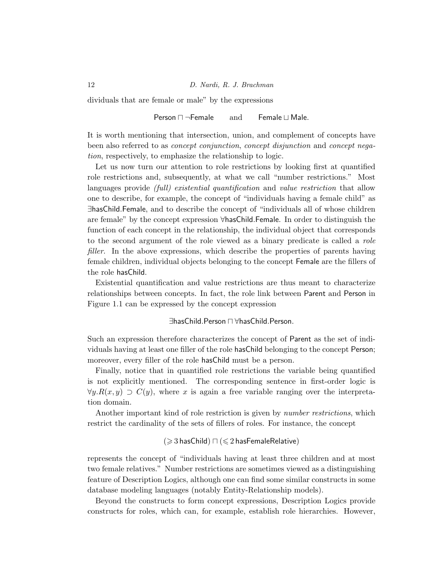dividuals that are female or male" by the expressions

## Person  $\sqcap$   $\neg$  Female and Female  $\sqcup$  Male.

It is worth mentioning that intersection, union, and complement of concepts have been also referred to as concept conjunction, concept disjunction and concept negation, respectively, to emphasize the relationship to logic.

Let us now turn our attention to role restrictions by looking first at quantified role restrictions and, subsequently, at what we call "number restrictions." Most languages provide *(full)* existential quantification and value restriction that allow one to describe, for example, the concept of "individuals having a female child" as ∃hasChild.Female, and to describe the concept of "individuals all of whose children are female" by the concept expression ∀hasChild.Female. In order to distinguish the function of each concept in the relationship, the individual object that corresponds to the second argument of the role viewed as a binary predicate is called a role filler. In the above expressions, which describe the properties of parents having female children, individual objects belonging to the concept Female are the fillers of the role hasChild.

Existential quantification and value restrictions are thus meant to characterize relationships between concepts. In fact, the role link between Parent and Person in Figure 1.1 can be expressed by the concept expression

## ∃hasChild.Person  $\Box$  ∀hasChild.Person.

Such an expression therefore characterizes the concept of Parent as the set of individuals having at least one filler of the role hasChild belonging to the concept Person; moreover, every filler of the role hasChild must be a person.

Finally, notice that in quantified role restrictions the variable being quantified is not explicitly mentioned. The corresponding sentence in first-order logic is  $\forall y. R(x, y) \supset C(y)$ , where x is again a free variable ranging over the interpretation domain.

Another important kind of role restriction is given by number restrictions, which restrict the cardinality of the sets of fillers of roles. For instance, the concept

## $(2)$  hasChild)  $\Box$  ( $\leq$  2 hasFemaleRelative)

represents the concept of "individuals having at least three children and at most two female relatives." Number restrictions are sometimes viewed as a distinguishing feature of Description Logics, although one can find some similar constructs in some database modeling languages (notably Entity-Relationship models).

Beyond the constructs to form concept expressions, Description Logics provide constructs for roles, which can, for example, establish role hierarchies. However,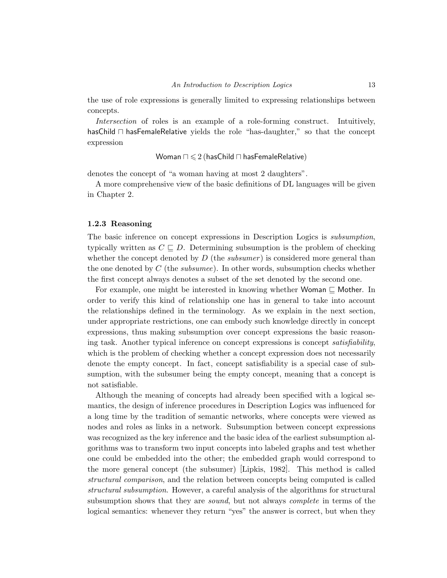the use of role expressions is generally limited to expressing relationships between concepts.

Intersection of roles is an example of a role-forming construct. Intuitively, hasChild  $\Box$  hasFemaleRelative yields the role "has-daughter," so that the concept expression

$$
\textsf{Woman} \sqcap \leqslant 2\,(\textsf{hasChild} \sqcap \textsf{hasFemaleRelative})
$$

denotes the concept of "a woman having at most 2 daughters".

A more comprehensive view of the basic definitions of DL languages will be given in Chapter 2.

## 1.2.3 Reasoning

The basic inference on concept expressions in Description Logics is subsumption, typically written as  $C \subseteq D$ . Determining subsumption is the problem of checking whether the concept denoted by D (the *subsumer*) is considered more general than the one denoted by  $C$  (the *subsumee*). In other words, subsumption checks whether the first concept always denotes a subset of the set denoted by the second one.

For example, one might be interested in knowing whether Woman  $\Box$  Mother. In order to verify this kind of relationship one has in general to take into account the relationships defined in the terminology. As we explain in the next section, under appropriate restrictions, one can embody such knowledge directly in concept expressions, thus making subsumption over concept expressions the basic reasoning task. Another typical inference on concept expressions is concept satisfiability, which is the problem of checking whether a concept expression does not necessarily denote the empty concept. In fact, concept satisfiability is a special case of subsumption, with the subsumer being the empty concept, meaning that a concept is not satisfiable.

Although the meaning of concepts had already been specified with a logical semantics, the design of inference procedures in Description Logics was influenced for a long time by the tradition of semantic networks, where concepts were viewed as nodes and roles as links in a network. Subsumption between concept expressions was recognized as the key inference and the basic idea of the earliest subsumption algorithms was to transform two input concepts into labeled graphs and test whether one could be embedded into the other; the embedded graph would correspond to the more general concept (the subsumer) [Lipkis, 1982]. This method is called structural comparison, and the relation between concepts being computed is called structural subsumption. However, a careful analysis of the algorithms for structural subsumption shows that they are sound, but not always complete in terms of the logical semantics: whenever they return "yes" the answer is correct, but when they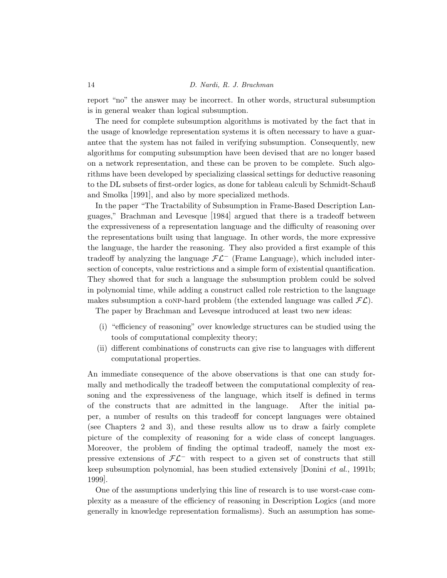report "no" the answer may be incorrect. In other words, structural subsumption is in general weaker than logical subsumption.

The need for complete subsumption algorithms is motivated by the fact that in the usage of knowledge representation systems it is often necessary to have a guarantee that the system has not failed in verifying subsumption. Consequently, new algorithms for computing subsumption have been devised that are no longer based on a network representation, and these can be proven to be complete. Such algorithms have been developed by specializing classical settings for deductive reasoning to the DL subsets of first-order logics, as done for tableau calculi by Schmidt-Schauß and Smolka [1991], and also by more specialized methods.

In the paper "The Tractability of Subsumption in Frame-Based Description Languages," Brachman and Levesque [1984] argued that there is a tradeoff between the expressiveness of a representation language and the difficulty of reasoning over the representations built using that language. In other words, the more expressive the language, the harder the reasoning. They also provided a first example of this tradeoff by analyzing the language  $\mathcal{F}\mathcal{L}^-$  (Frame Language), which included intersection of concepts, value restrictions and a simple form of existential quantification. They showed that for such a language the subsumption problem could be solved in polynomial time, while adding a construct called role restriction to the language makes subsumption a con-hard problem (the extended language was called  $\mathcal{FL}$ ).

The paper by Brachman and Levesque introduced at least two new ideas:

- (i) "efficiency of reasoning" over knowledge structures can be studied using the tools of computational complexity theory;
- (ii) different combinations of constructs can give rise to languages with different computational properties.

An immediate consequence of the above observations is that one can study formally and methodically the tradeoff between the computational complexity of reasoning and the expressiveness of the language, which itself is defined in terms of the constructs that are admitted in the language. After the initial paper, a number of results on this tradeoff for concept languages were obtained (see Chapters 2 and 3), and these results allow us to draw a fairly complete picture of the complexity of reasoning for a wide class of concept languages. Moreover, the problem of finding the optimal tradeoff, namely the most expressive extensions of  $\mathcal{FL}^-$  with respect to a given set of constructs that still keep subsumption polynomial, has been studied extensively Donini *et al.*, 1991b; 1999].

One of the assumptions underlying this line of research is to use worst-case complexity as a measure of the efficiency of reasoning in Description Logics (and more generally in knowledge representation formalisms). Such an assumption has some-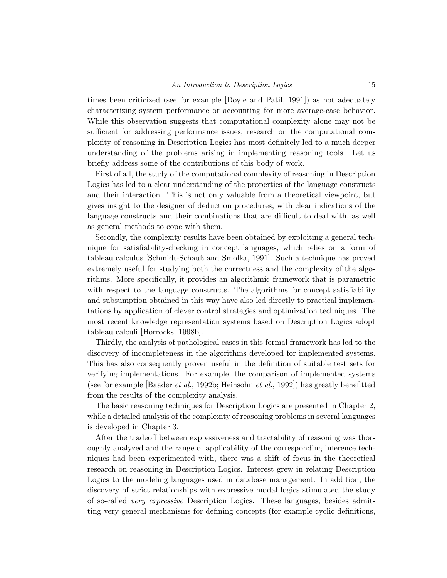times been criticized (see for example [Doyle and Patil, 1991]) as not adequately characterizing system performance or accounting for more average-case behavior. While this observation suggests that computational complexity alone may not be sufficient for addressing performance issues, research on the computational complexity of reasoning in Description Logics has most definitely led to a much deeper understanding of the problems arising in implementing reasoning tools. Let us briefly address some of the contributions of this body of work.

First of all, the study of the computational complexity of reasoning in Description Logics has led to a clear understanding of the properties of the language constructs and their interaction. This is not only valuable from a theoretical viewpoint, but gives insight to the designer of deduction procedures, with clear indications of the language constructs and their combinations that are difficult to deal with, as well as general methods to cope with them.

Secondly, the complexity results have been obtained by exploiting a general technique for satisfiability-checking in concept languages, which relies on a form of tableau calculus [Schmidt-Schauß and Smolka, 1991]. Such a technique has proved extremely useful for studying both the correctness and the complexity of the algorithms. More specifically, it provides an algorithmic framework that is parametric with respect to the language constructs. The algorithms for concept satisfiability and subsumption obtained in this way have also led directly to practical implementations by application of clever control strategies and optimization techniques. The most recent knowledge representation systems based on Description Logics adopt tableau calculi [Horrocks, 1998b].

Thirdly, the analysis of pathological cases in this formal framework has led to the discovery of incompleteness in the algorithms developed for implemented systems. This has also consequently proven useful in the definition of suitable test sets for verifying implementations. For example, the comparison of implemented systems (see for example [Baader et al., 1992b; Heinsohn et al., 1992]) has greatly benefitted from the results of the complexity analysis.

The basic reasoning techniques for Description Logics are presented in Chapter 2, while a detailed analysis of the complexity of reasoning problems in several languages is developed in Chapter 3.

After the tradeoff between expressiveness and tractability of reasoning was thoroughly analyzed and the range of applicability of the corresponding inference techniques had been experimented with, there was a shift of focus in the theoretical research on reasoning in Description Logics. Interest grew in relating Description Logics to the modeling languages used in database management. In addition, the discovery of strict relationships with expressive modal logics stimulated the study of so-called very expressive Description Logics. These languages, besides admitting very general mechanisms for defining concepts (for example cyclic definitions,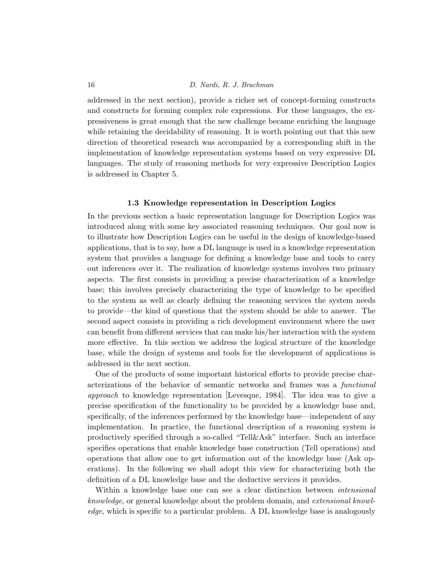addressed in the next section), provide a richer set of concept-forming constructs and constructs for forming complex role expressions. For these languages, the expressiveness is great enough that the new challenge became enriching the language while retaining the decidability of reasoning. It is worth pointing out that this new direction of theoretical research was accompanied by a corresponding shift in the implementation of knowledge representation systems based on very expressive DL languages. The study of reasoning methods for very expressive Description Logics is addressed in Chapter 5.

#### 1.3 Knowledge representation in Description Logics

In the previous section a basic representation language for Description Logics was introduced along with some key associated reasoning techniques. Our goal now is to illustrate how Description Logics can be useful in the design of knowledge-based applications, that is to say, how a DL language is used in a knowledge representation system that provides a language for defining a knowledge base and tools to carry out inferences over it. The realization of knowledge systems involves two primary aspects. The first consists in providing a precise characterization of a knowledge base; this involves precisely characterizing the type of knowledge to be specified to the system as well as clearly defining the reasoning services the system needs to provide—the kind of questions that the system should be able to answer. The second aspect consists in providing a rich development environment where the user can benefit from different services that can make his/her interaction with the system more effective. In this section we address the logical structure of the knowledge base, while the design of systems and tools for the development of applications is addressed in the next section.

One of the products of some important historical efforts to provide precise characterizations of the behavior of semantic networks and frames was a functional approach to knowledge representation [Levesque, 1984]. The idea was to give a precise specification of the functionality to be provided by a knowledge base and, specifically, of the inferences performed by the knowledge base—independent of any implementation. In practice, the functional description of a reasoning system is productively specified through a so-called "Tell&Ask" interface. Such an interface specifies operations that enable knowledge base construction (Tell operations) and operations that allow one to get information out of the knowledge base (Ask operations). In the following we shall adopt this view for characterizing both the definition of a DL knowledge base and the deductive services it provides.

Within a knowledge base one can see a clear distinction between intensional knowledge, or general knowledge about the problem domain, and extensional knowledge, which is specific to a particular problem. A DL knowledge base is analogously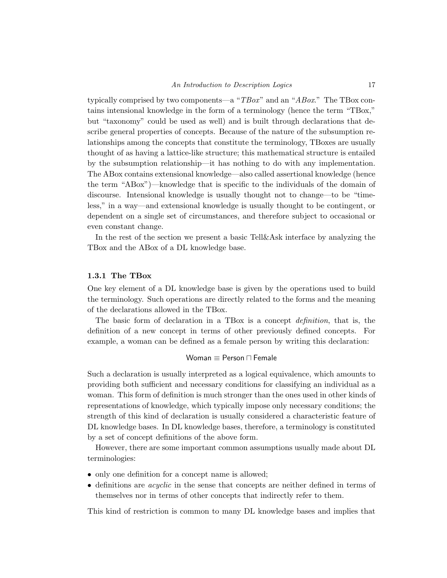typically comprised by two components—a " $TBox$ " and an " $ABox$ ." The TBox contains intensional knowledge in the form of a terminology (hence the term "TBox," but "taxonomy" could be used as well) and is built through declarations that describe general properties of concepts. Because of the nature of the subsumption relationships among the concepts that constitute the terminology, TBoxes are usually thought of as having a lattice-like structure; this mathematical structure is entailed by the subsumption relationship—it has nothing to do with any implementation. The ABox contains extensional knowledge—also called assertional knowledge (hence the term "ABox")—knowledge that is specific to the individuals of the domain of discourse. Intensional knowledge is usually thought not to change—to be "timeless," in a way—and extensional knowledge is usually thought to be contingent, or dependent on a single set of circumstances, and therefore subject to occasional or even constant change.

In the rest of the section we present a basic Tell&Ask interface by analyzing the TBox and the ABox of a DL knowledge base.

## 1.3.1 The TBox

One key element of a DL knowledge base is given by the operations used to build the terminology. Such operations are directly related to the forms and the meaning of the declarations allowed in the TBox.

The basic form of declaration in a TBox is a concept definition, that is, the definition of a new concept in terms of other previously defined concepts. For example, a woman can be defined as a female person by writing this declaration:

#### Woman  $\equiv$  Person  $\sqcap$  Female

Such a declaration is usually interpreted as a logical equivalence, which amounts to providing both sufficient and necessary conditions for classifying an individual as a woman. This form of definition is much stronger than the ones used in other kinds of representations of knowledge, which typically impose only necessary conditions; the strength of this kind of declaration is usually considered a characteristic feature of DL knowledge bases. In DL knowledge bases, therefore, a terminology is constituted by a set of concept definitions of the above form.

However, there are some important common assumptions usually made about DL terminologies:

- only one definition for a concept name is allowed;
- definitions are *acyclic* in the sense that concepts are neither defined in terms of themselves nor in terms of other concepts that indirectly refer to them.

This kind of restriction is common to many DL knowledge bases and implies that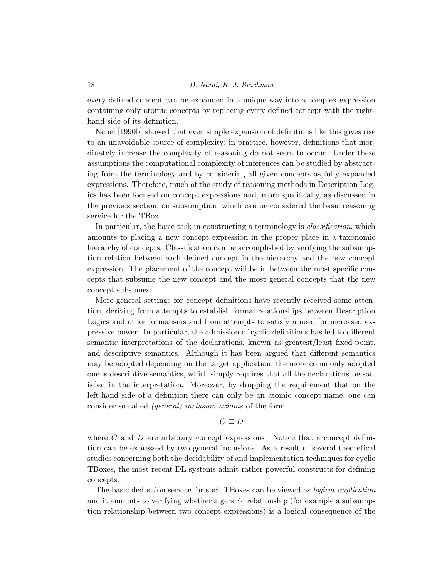every defined concept can be expanded in a unique way into a complex expression containing only atomic concepts by replacing every defined concept with the righthand side of its definition.

Nebel [1990b] showed that even simple expansion of definitions like this gives rise to an unavoidable source of complexity; in practice, however, definitions that inordinately increase the complexity of reasoning do not seem to occur. Under these assumptions the computational complexity of inferences can be studied by abstracting from the terminology and by considering all given concepts as fully expanded expressions. Therefore, much of the study of reasoning methods in Description Logics has been focused on concept expressions and, more specifically, as discussed in the previous section, on subsumption, which can be considered the basic reasoning service for the TBox.

In particular, the basic task in constructing a terminology is *classification*, which amounts to placing a new concept expression in the proper place in a taxonomic hierarchy of concepts. Classification can be accomplished by verifying the subsumption relation between each defined concept in the hierarchy and the new concept expression. The placement of the concept will be in between the most specific concepts that subsume the new concept and the most general concepts that the new concept subsumes.

More general settings for concept definitions have recently received some attention, deriving from attempts to establish formal relationships between Description Logics and other formalisms and from attempts to satisfy a need for increased expressive power. In particular, the admission of cyclic definitions has led to different semantic interpretations of the declarations, known as greatest/least fixed-point, and descriptive semantics. Although it has been argued that different semantics may be adopted depending on the target application, the more commonly adopted one is descriptive semantics, which simply requires that all the declarations be satisfied in the interpretation. Moreover, by dropping the requirement that on the left-hand side of a definition there can only be an atomic concept name, one can consider so-called (general) inclusion axioms of the form

## $C \sqsubset D$

where  $C$  and  $D$  are arbitrary concept expressions. Notice that a concept definition can be expressed by two general inclusions. As a result of several theoretical studies concerning both the decidability of and implementation techniques for cyclic TBoxes, the most recent DL systems admit rather powerful constructs for defining concepts.

The basic deduction service for such TBoxes can be viewed as logical implication and it amounts to verifying whether a generic relationship (for example a subsumption relationship between two concept expressions) is a logical consequence of the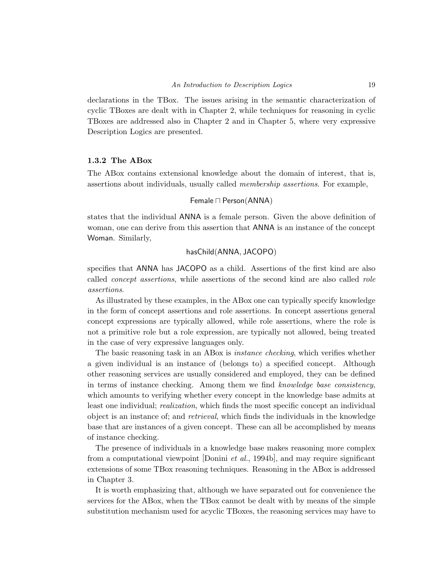declarations in the TBox. The issues arising in the semantic characterization of cyclic TBoxes are dealt with in Chapter 2, while techniques for reasoning in cyclic TBoxes are addressed also in Chapter 2 and in Chapter 5, where very expressive Description Logics are presented.

## 1.3.2 The ABox

The ABox contains extensional knowledge about the domain of interest, that is, assertions about individuals, usually called membership assertions. For example,

## Female  $\sqcap$  Person(ANNA)

states that the individual ANNA is a female person. Given the above definition of woman, one can derive from this assertion that ANNA is an instance of the concept Woman. Similarly,

## hasChild(ANNA, JACOPO)

specifies that ANNA has JACOPO as a child. Assertions of the first kind are also called concept assertions, while assertions of the second kind are also called role assertions.

As illustrated by these examples, in the ABox one can typically specify knowledge in the form of concept assertions and role assertions. In concept assertions general concept expressions are typically allowed, while role assertions, where the role is not a primitive role but a role expression, are typically not allowed, being treated in the case of very expressive languages only.

The basic reasoning task in an ABox is instance checking, which verifies whether a given individual is an instance of (belongs to) a specified concept. Although other reasoning services are usually considered and employed, they can be defined in terms of instance checking. Among them we find knowledge base consistency, which amounts to verifying whether every concept in the knowledge base admits at least one individual; *realization*, which finds the most specific concept an individual object is an instance of; and retrieval, which finds the individuals in the knowledge base that are instances of a given concept. These can all be accomplished by means of instance checking.

The presence of individuals in a knowledge base makes reasoning more complex from a computational viewpoint Donini *et al.*, 1994b, and may require significant extensions of some TBox reasoning techniques. Reasoning in the ABox is addressed in Chapter 3.

It is worth emphasizing that, although we have separated out for convenience the services for the ABox, when the TBox cannot be dealt with by means of the simple substitution mechanism used for acyclic TBoxes, the reasoning services may have to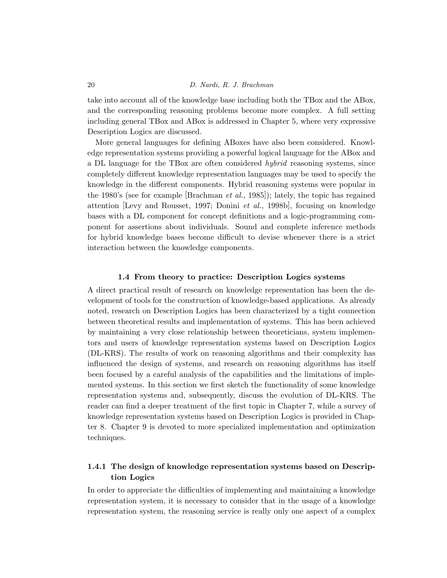take into account all of the knowledge base including both the TBox and the ABox, and the corresponding reasoning problems become more complex. A full setting including general TBox and ABox is addressed in Chapter 5, where very expressive Description Logics are discussed.

More general languages for defining ABoxes have also been considered. Knowledge representation systems providing a powerful logical language for the ABox and a DL language for the TBox are often considered hybrid reasoning systems, since completely different knowledge representation languages may be used to specify the knowledge in the different components. Hybrid reasoning systems were popular in the 1980's (see for example  $\lbrack$ Brachman *et al.*, 1985 $\lbrack$ ); lately, the topic has regained attention [Levy and Rousset, 1997; Donini et al., 1998b], focusing on knowledge bases with a DL component for concept definitions and a logic-programming component for assertions about individuals. Sound and complete inference methods for hybrid knowledge bases become difficult to devise whenever there is a strict interaction between the knowledge components.

#### 1.4 From theory to practice: Description Logics systems

A direct practical result of research on knowledge representation has been the development of tools for the construction of knowledge-based applications. As already noted, research on Description Logics has been characterized by a tight connection between theoretical results and implementation of systems. This has been achieved by maintaining a very close relationship between theoreticians, system implementors and users of knowledge representation systems based on Description Logics (DL-KRS). The results of work on reasoning algorithms and their complexity has influenced the design of systems, and research on reasoning algorithms has itself been focused by a careful analysis of the capabilities and the limitations of implemented systems. In this section we first sketch the functionality of some knowledge representation systems and, subsequently, discuss the evolution of DL-KRS. The reader can find a deeper treatment of the first topic in Chapter 7, while a survey of knowledge representation systems based on Description Logics is provided in Chapter 8. Chapter 9 is devoted to more specialized implementation and optimization techniques.

## 1.4.1 The design of knowledge representation systems based on Description Logics

In order to appreciate the difficulties of implementing and maintaining a knowledge representation system, it is necessary to consider that in the usage of a knowledge representation system, the reasoning service is really only one aspect of a complex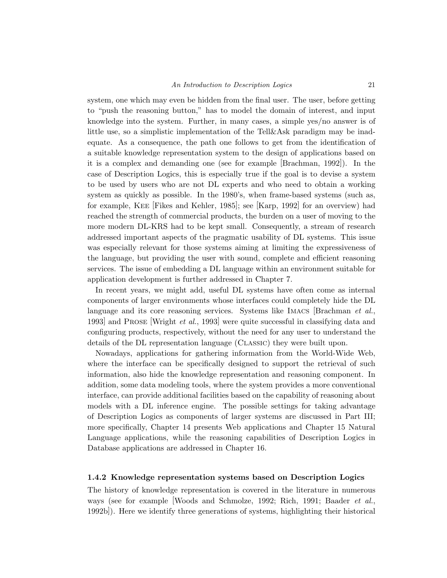system, one which may even be hidden from the final user. The user, before getting to "push the reasoning button," has to model the domain of interest, and input knowledge into the system. Further, in many cases, a simple yes/no answer is of little use, so a simplistic implementation of the Tell&Ask paradigm may be inadequate. As a consequence, the path one follows to get from the identification of a suitable knowledge representation system to the design of applications based on it is a complex and demanding one (see for example [Brachman, 1992]). In the case of Description Logics, this is especially true if the goal is to devise a system to be used by users who are not DL experts and who need to obtain a working system as quickly as possible. In the 1980's, when frame-based systems (such as, for example, Kee [Fikes and Kehler, 1985]; see [Karp, 1992] for an overview) had reached the strength of commercial products, the burden on a user of moving to the more modern DL-KRS had to be kept small. Consequently, a stream of research addressed important aspects of the pragmatic usability of DL systems. This issue was especially relevant for those systems aiming at limiting the expressiveness of the language, but providing the user with sound, complete and efficient reasoning services. The issue of embedding a DL language within an environment suitable for application development is further addressed in Chapter 7.

In recent years, we might add, useful DL systems have often come as internal components of larger environments whose interfaces could completely hide the DL language and its core reasoning services. Systems like IMACS Brachman et al., 1993] and Prose [Wright et al., 1993] were quite successful in classifying data and configuring products, respectively, without the need for any user to understand the details of the DL representation language (Classic) they were built upon.

Nowadays, applications for gathering information from the World-Wide Web, where the interface can be specifically designed to support the retrieval of such information, also hide the knowledge representation and reasoning component. In addition, some data modeling tools, where the system provides a more conventional interface, can provide additional facilities based on the capability of reasoning about models with a DL inference engine. The possible settings for taking advantage of Description Logics as components of larger systems are discussed in Part III; more specifically, Chapter 14 presents Web applications and Chapter 15 Natural Language applications, while the reasoning capabilities of Description Logics in Database applications are addressed in Chapter 16.

#### 1.4.2 Knowledge representation systems based on Description Logics

The history of knowledge representation is covered in the literature in numerous ways (see for example [Woods and Schmolze, 1992; Rich, 1991; Baader et al., 1992b]). Here we identify three generations of systems, highlighting their historical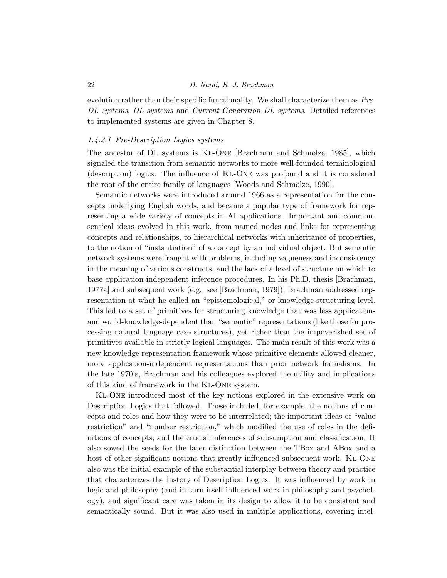evolution rather than their specific functionality. We shall characterize them as Pre-DL systems, DL systems and Current Generation DL systems. Detailed references to implemented systems are given in Chapter 8.

#### 1.4.2.1 Pre-Description Logics systems

The ancestor of DL systems is Kl-One [Brachman and Schmolze, 1985], which signaled the transition from semantic networks to more well-founded terminological (description) logics. The influence of Kl-One was profound and it is considered the root of the entire family of languages [Woods and Schmolze, 1990].

Semantic networks were introduced around 1966 as a representation for the concepts underlying English words, and became a popular type of framework for representing a wide variety of concepts in AI applications. Important and commonsensical ideas evolved in this work, from named nodes and links for representing concepts and relationships, to hierarchical networks with inheritance of properties, to the notion of "instantiation" of a concept by an individual object. But semantic network systems were fraught with problems, including vagueness and inconsistency in the meaning of various constructs, and the lack of a level of structure on which to base application-independent inference procedures. In his Ph.D. thesis [Brachman, 1977a] and subsequent work (e.g., see [Brachman, 1979]), Brachman addressed representation at what he called an "epistemological," or knowledge-structuring level. This led to a set of primitives for structuring knowledge that was less applicationand world-knowledge-dependent than "semantic" representations (like those for processing natural language case structures), yet richer than the impoverished set of primitives available in strictly logical languages. The main result of this work was a new knowledge representation framework whose primitive elements allowed cleaner, more application-independent representations than prior network formalisms. In the late 1970's, Brachman and his colleagues explored the utility and implications of this kind of framework in the Kl-One system.

Kl-One introduced most of the key notions explored in the extensive work on Description Logics that followed. These included, for example, the notions of concepts and roles and how they were to be interrelated; the important ideas of "value restriction" and "number restriction," which modified the use of roles in the definitions of concepts; and the crucial inferences of subsumption and classification. It also sowed the seeds for the later distinction between the TBox and ABox and a host of other significant notions that greatly influenced subsequent work. KL-ONE also was the initial example of the substantial interplay between theory and practice that characterizes the history of Description Logics. It was influenced by work in logic and philosophy (and in turn itself influenced work in philosophy and psychology), and significant care was taken in its design to allow it to be consistent and semantically sound. But it was also used in multiple applications, covering intel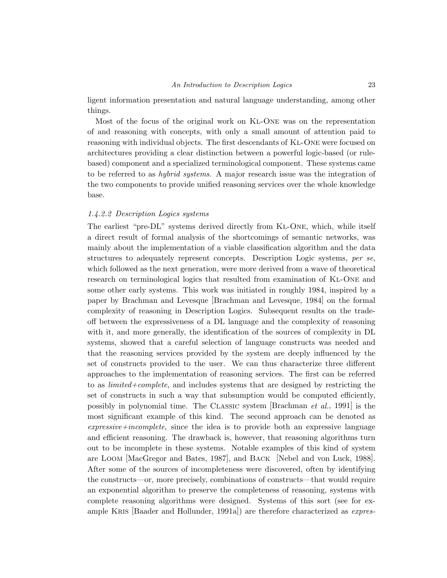ligent information presentation and natural language understanding, among other things.

Most of the focus of the original work on Kl-One was on the representation of and reasoning with concepts, with only a small amount of attention paid to reasoning with individual objects. The first descendants of Kl-One were focused on architectures providing a clear distinction between a powerful logic-based (or rulebased) component and a specialized terminological component. These systems came to be referred to as hybrid systems. A major research issue was the integration of the two components to provide unified reasoning services over the whole knowledge base.

#### 1.4.2.2 Description Logics systems

The earliest "pre-DL" systems derived directly from Kl-One, which, while itself a direct result of formal analysis of the shortcomings of semantic networks, was mainly about the implementation of a viable classification algorithm and the data structures to adequately represent concepts. Description Logic systems, per se, which followed as the next generation, were more derived from a wave of theoretical research on terminological logics that resulted from examination of Kl-One and some other early systems. This work was initiated in roughly 1984, inspired by a paper by Brachman and Levesque [Brachman and Levesque, 1984] on the formal complexity of reasoning in Description Logics. Subsequent results on the tradeoff between the expressiveness of a DL language and the complexity of reasoning with it, and more generally, the identification of the sources of complexity in DL systems, showed that a careful selection of language constructs was needed and that the reasoning services provided by the system are deeply influenced by the set of constructs provided to the user. We can thus characterize three different approaches to the implementation of reasoning services. The first can be referred to as *limited+complete*, and includes systems that are designed by restricting the set of constructs in such a way that subsumption would be computed efficiently, possibly in polynomial time. The Classic system [Brachman et al., 1991] is the most significant example of this kind. The second approach can be denoted as  $expressive+incomplete$ , since the idea is to provide both an expressive language and efficient reasoning. The drawback is, however, that reasoning algorithms turn out to be incomplete in these systems. Notable examples of this kind of system are Loom [MacGregor and Bates, 1987], and Back [Nebel and von Luck, 1988]. After some of the sources of incompleteness were discovered, often by identifying the constructs—or, more precisely, combinations of constructs—that would require an exponential algorithm to preserve the completeness of reasoning, systems with complete reasoning algorithms were designed. Systems of this sort (see for example KRIS [Baader and Hollunder, 1991a]) are therefore characterized as expres-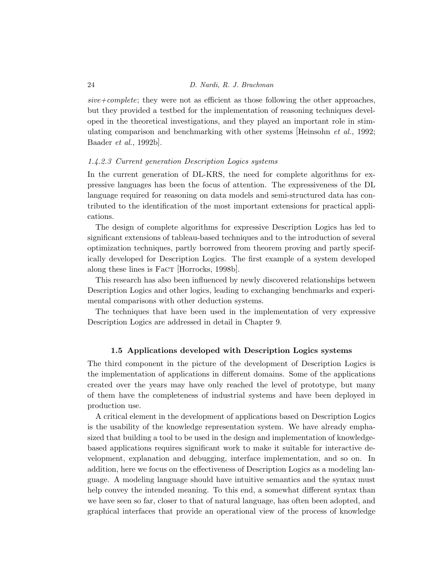$sive+complete$ ; they were not as efficient as those following the other approaches, but they provided a testbed for the implementation of reasoning techniques developed in the theoretical investigations, and they played an important role in stimulating comparison and benchmarking with other systems [Heinsohn *et al.*, 1992; Baader et al., 1992b].

#### 1.4.2.3 Current generation Description Logics systems

In the current generation of DL-KRS, the need for complete algorithms for expressive languages has been the focus of attention. The expressiveness of the DL language required for reasoning on data models and semi-structured data has contributed to the identification of the most important extensions for practical applications.

The design of complete algorithms for expressive Description Logics has led to significant extensions of tableau-based techniques and to the introduction of several optimization techniques, partly borrowed from theorem proving and partly specifically developed for Description Logics. The first example of a system developed along these lines is Fact [Horrocks, 1998b].

This research has also been influenced by newly discovered relationships between Description Logics and other logics, leading to exchanging benchmarks and experimental comparisons with other deduction systems.

The techniques that have been used in the implementation of very expressive Description Logics are addressed in detail in Chapter 9.

#### 1.5 Applications developed with Description Logics systems

The third component in the picture of the development of Description Logics is the implementation of applications in different domains. Some of the applications created over the years may have only reached the level of prototype, but many of them have the completeness of industrial systems and have been deployed in production use.

A critical element in the development of applications based on Description Logics is the usability of the knowledge representation system. We have already emphasized that building a tool to be used in the design and implementation of knowledgebased applications requires significant work to make it suitable for interactive development, explanation and debugging, interface implementation, and so on. In addition, here we focus on the effectiveness of Description Logics as a modeling language. A modeling language should have intuitive semantics and the syntax must help convey the intended meaning. To this end, a somewhat different syntax than we have seen so far, closer to that of natural language, has often been adopted, and graphical interfaces that provide an operational view of the process of knowledge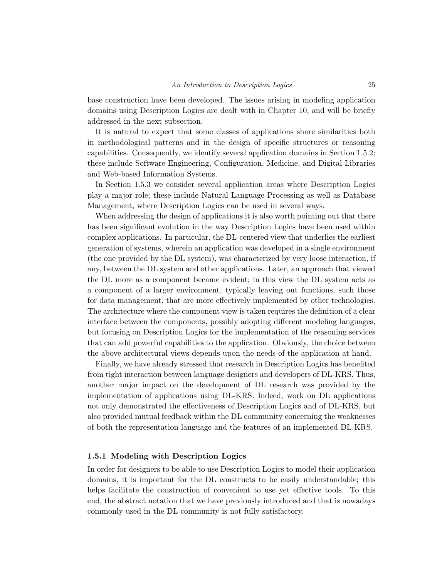base construction have been developed. The issues arising in modeling application domains using Description Logics are dealt with in Chapter 10, and will be briefly addressed in the next subsection.

It is natural to expect that some classes of applications share similarities both in methodological patterns and in the design of specific structures or reasoning capabilities. Consequently, we identify several application domains in Section 1.5.2; these include Software Engineering, Configuration, Medicine, and Digital Libraries and Web-based Information Systems.

In Section 1.5.3 we consider several application areas where Description Logics play a major role; these include Natural Language Processing as well as Database Management, where Description Logics can be used in several ways.

When addressing the design of applications it is also worth pointing out that there has been significant evolution in the way Description Logics have been used within complex applications. In particular, the DL-centered view that underlies the earliest generation of systems, wherein an application was developed in a single environment (the one provided by the DL system), was characterized by very loose interaction, if any, between the DL system and other applications. Later, an approach that viewed the DL more as a component became evident; in this view the DL system acts as a component of a larger environment, typically leaving out functions, such those for data management, that are more effectively implemented by other technologies. The architecture where the component view is taken requires the definition of a clear interface between the components, possibly adopting different modeling languages, but focusing on Description Logics for the implementation of the reasoning services that can add powerful capabilities to the application. Obviously, the choice between the above architectural views depends upon the needs of the application at hand.

Finally, we have already stressed that research in Description Logics has benefited from tight interaction between language designers and developers of DL-KRS. Thus, another major impact on the development of DL research was provided by the implementation of applications using DL-KRS. Indeed, work on DL applications not only demonstrated the effectiveness of Description Logics and of DL-KRS, but also provided mutual feedback within the DL community concerning the weaknesses of both the representation language and the features of an implemented DL-KRS.

#### 1.5.1 Modeling with Description Logics

In order for designers to be able to use Description Logics to model their application domains, it is important for the DL constructs to be easily understandable; this helps facilitate the construction of convenient to use yet effective tools. To this end, the abstract notation that we have previously introduced and that is nowadays commonly used in the DL community is not fully satisfactory.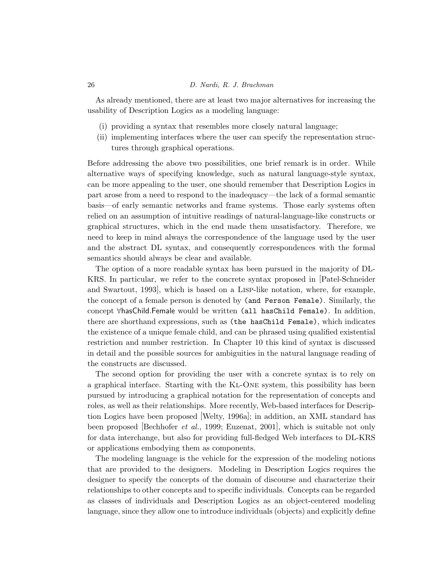As already mentioned, there are at least two major alternatives for increasing the usability of Description Logics as a modeling language:

- (i) providing a syntax that resembles more closely natural language;
- (ii) implementing interfaces where the user can specify the representation structures through graphical operations.

Before addressing the above two possibilities, one brief remark is in order. While alternative ways of specifying knowledge, such as natural language-style syntax, can be more appealing to the user, one should remember that Description Logics in part arose from a need to respond to the inadequacy—the lack of a formal semantic basis—of early semantic networks and frame systems. Those early systems often relied on an assumption of intuitive readings of natural-language-like constructs or graphical structures, which in the end made them unsatisfactory. Therefore, we need to keep in mind always the correspondence of the language used by the user and the abstract DL syntax, and consequently correspondences with the formal semantics should always be clear and available.

The option of a more readable syntax has been pursued in the majority of DL-KRS. In particular, we refer to the concrete syntax proposed in [Patel-Schneider and Swartout, 1993], which is based on a Lisp-like notation, where, for example, the concept of a female person is denoted by (and Person Female). Similarly, the concept ∀hasChild.Female would be written (all hasChild Female). In addition, there are shorthand expressions, such as (the hasChild Female), which indicates the existence of a unique female child, and can be phrased using qualified existential restriction and number restriction. In Chapter 10 this kind of syntax is discussed in detail and the possible sources for ambiguities in the natural language reading of the constructs are discussed.

The second option for providing the user with a concrete syntax is to rely on a graphical interface. Starting with the Kl-One system, this possibility has been pursued by introducing a graphical notation for the representation of concepts and roles, as well as their relationships. More recently, Web-based interfaces for Description Logics have been proposed [Welty, 1996a]; in addition, an XML standard has been proposed [Bechhofer et al., 1999; Euzenat, 2001], which is suitable not only for data interchange, but also for providing full-fledged Web interfaces to DL-KRS or applications embodying them as components.

The modeling language is the vehicle for the expression of the modeling notions that are provided to the designers. Modeling in Description Logics requires the designer to specify the concepts of the domain of discourse and characterize their relationships to other concepts and to specific individuals. Concepts can be regarded as classes of individuals and Description Logics as an object-centered modeling language, since they allow one to introduce individuals (objects) and explicitly define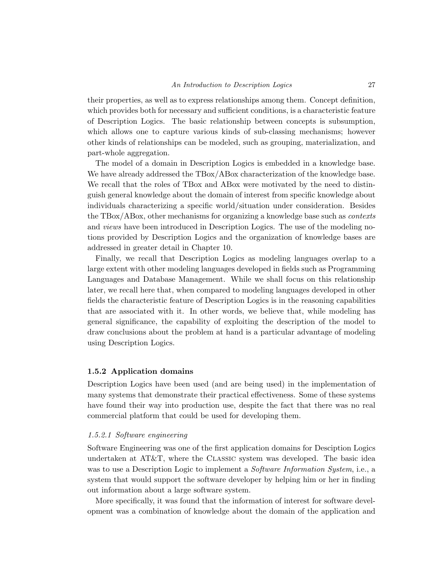their properties, as well as to express relationships among them. Concept definition, which provides both for necessary and sufficient conditions, is a characteristic feature of Description Logics. The basic relationship between concepts is subsumption, which allows one to capture various kinds of sub-classing mechanisms; however other kinds of relationships can be modeled, such as grouping, materialization, and part-whole aggregation.

The model of a domain in Description Logics is embedded in a knowledge base. We have already addressed the TBox/ABox characterization of the knowledge base. We recall that the roles of TBox and ABox were motivated by the need to distinguish general knowledge about the domain of interest from specific knowledge about individuals characterizing a specific world/situation under consideration. Besides the TBox/ABox, other mechanisms for organizing a knowledge base such as *contexts* and views have been introduced in Description Logics. The use of the modeling notions provided by Description Logics and the organization of knowledge bases are addressed in greater detail in Chapter 10.

Finally, we recall that Description Logics as modeling languages overlap to a large extent with other modeling languages developed in fields such as Programming Languages and Database Management. While we shall focus on this relationship later, we recall here that, when compared to modeling languages developed in other fields the characteristic feature of Description Logics is in the reasoning capabilities that are associated with it. In other words, we believe that, while modeling has general significance, the capability of exploiting the description of the model to draw conclusions about the problem at hand is a particular advantage of modeling using Description Logics.

#### 1.5.2 Application domains

Description Logics have been used (and are being used) in the implementation of many systems that demonstrate their practical effectiveness. Some of these systems have found their way into production use, despite the fact that there was no real commercial platform that could be used for developing them.

#### 1.5.2.1 Software engineering

Software Engineering was one of the first application domains for Desciption Logics undertaken at  $AT&T$ , where the CLASSIC system was developed. The basic idea was to use a Description Logic to implement a *Software Information System*, i.e., a system that would support the software developer by helping him or her in finding out information about a large software system.

More specifically, it was found that the information of interest for software development was a combination of knowledge about the domain of the application and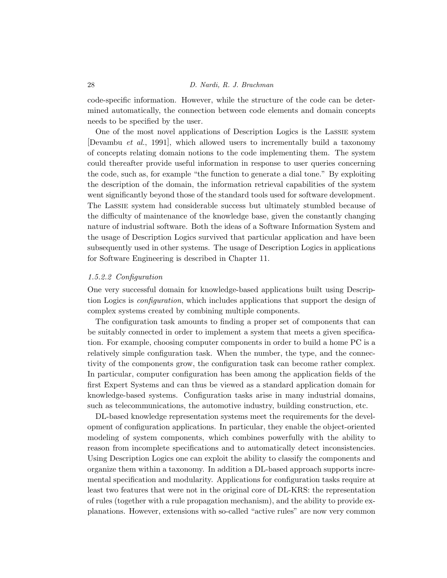code-specific information. However, while the structure of the code can be determined automatically, the connection between code elements and domain concepts needs to be specified by the user.

One of the most novel applications of Description Logics is the Lassie system [Devambu et al., 1991], which allowed users to incrementally build a taxonomy of concepts relating domain notions to the code implementing them. The system could thereafter provide useful information in response to user queries concerning the code, such as, for example "the function to generate a dial tone." By exploiting the description of the domain, the information retrieval capabilities of the system went significantly beyond those of the standard tools used for software development. The Lassie system had considerable success but ultimately stumbled because of the difficulty of maintenance of the knowledge base, given the constantly changing nature of industrial software. Both the ideas of a Software Information System and the usage of Description Logics survived that particular application and have been subsequently used in other systems. The usage of Description Logics in applications for Software Engineering is described in Chapter 11.

#### 1.5.2.2 Configuration

One very successful domain for knowledge-based applications built using Description Logics is configuration, which includes applications that support the design of complex systems created by combining multiple components.

The configuration task amounts to finding a proper set of components that can be suitably connected in order to implement a system that meets a given specification. For example, choosing computer components in order to build a home PC is a relatively simple configuration task. When the number, the type, and the connectivity of the components grow, the configuration task can become rather complex. In particular, computer configuration has been among the application fields of the first Expert Systems and can thus be viewed as a standard application domain for knowledge-based systems. Configuration tasks arise in many industrial domains, such as telecommunications, the automotive industry, building construction, etc.

DL-based knowledge representation systems meet the requirements for the development of configuration applications. In particular, they enable the object-oriented modeling of system components, which combines powerfully with the ability to reason from incomplete specifications and to automatically detect inconsistencies. Using Description Logics one can exploit the ability to classify the components and organize them within a taxonomy. In addition a DL-based approach supports incremental specification and modularity. Applications for configuration tasks require at least two features that were not in the original core of DL-KRS: the representation of rules (together with a rule propagation mechanism), and the ability to provide explanations. However, extensions with so-called "active rules" are now very common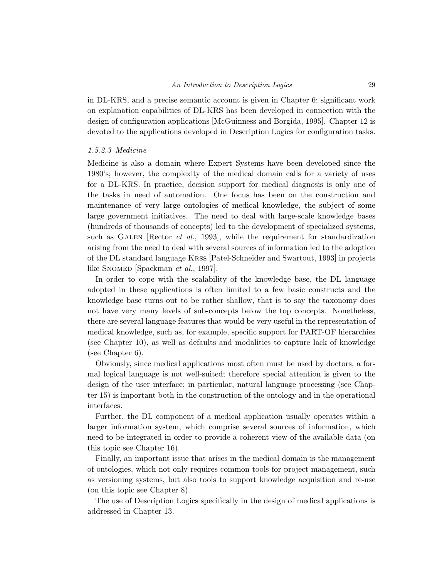in DL-KRS, and a precise semantic account is given in Chapter 6; significant work on explanation capabilities of DL-KRS has been developed in connection with the design of configuration applications [McGuinness and Borgida, 1995]. Chapter 12 is devoted to the applications developed in Description Logics for configuration tasks.

#### 1.5.2.3 Medicine

Medicine is also a domain where Expert Systems have been developed since the 1980's; however, the complexity of the medical domain calls for a variety of uses for a DL-KRS. In practice, decision support for medical diagnosis is only one of the tasks in need of automation. One focus has been on the construction and maintenance of very large ontologies of medical knowledge, the subject of some large government initiatives. The need to deal with large-scale knowledge bases (hundreds of thousands of concepts) led to the development of specialized systems, such as GALEN [Rector *et al.*, 1993], while the requirement for standardization arising from the need to deal with several sources of information led to the adoption of the DL standard language Krss [Patel-Schneider and Swartout, 1993] in projects like SNOMED [Spackman et al., 1997].

In order to cope with the scalability of the knowledge base, the DL language adopted in these applications is often limited to a few basic constructs and the knowledge base turns out to be rather shallow, that is to say the taxonomy does not have very many levels of sub-concepts below the top concepts. Nonetheless, there are several language features that would be very useful in the representation of medical knowledge, such as, for example, specific support for PART-OF hierarchies (see Chapter 10), as well as defaults and modalities to capture lack of knowledge (see Chapter 6).

Obviously, since medical applications most often must be used by doctors, a formal logical language is not well-suited; therefore special attention is given to the design of the user interface; in particular, natural language processing (see Chapter 15) is important both in the construction of the ontology and in the operational interfaces.

Further, the DL component of a medical application usually operates within a larger information system, which comprise several sources of information, which need to be integrated in order to provide a coherent view of the available data (on this topic see Chapter 16).

Finally, an important issue that arises in the medical domain is the management of ontologies, which not only requires common tools for project management, such as versioning systems, but also tools to support knowledge acquisition and re-use (on this topic see Chapter 8).

The use of Description Logics specifically in the design of medical applications is addressed in Chapter 13.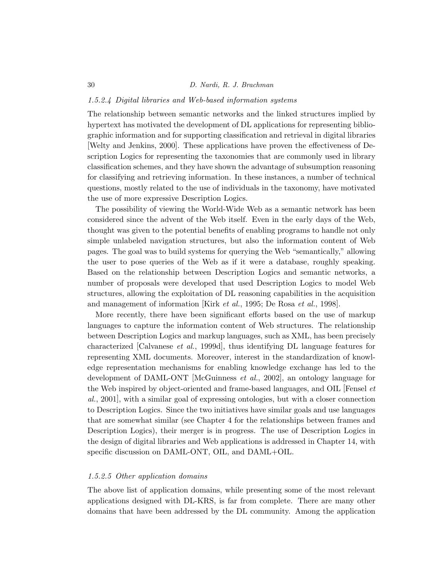## 1.5.2.4 Digital libraries and Web-based information systems

The relationship between semantic networks and the linked structures implied by hypertext has motivated the development of DL applications for representing bibliographic information and for supporting classification and retrieval in digital libraries [Welty and Jenkins, 2000]. These applications have proven the effectiveness of Description Logics for representing the taxonomies that are commonly used in library classification schemes, and they have shown the advantage of subsumption reasoning for classifying and retrieving information. In these instances, a number of technical questions, mostly related to the use of individuals in the taxonomy, have motivated the use of more expressive Description Logics.

The possibility of viewing the World-Wide Web as a semantic network has been considered since the advent of the Web itself. Even in the early days of the Web, thought was given to the potential benefits of enabling programs to handle not only simple unlabeled navigation structures, but also the information content of Web pages. The goal was to build systems for querying the Web "semantically," allowing the user to pose queries of the Web as if it were a database, roughly speaking. Based on the relationship between Description Logics and semantic networks, a number of proposals were developed that used Description Logics to model Web structures, allowing the exploitation of DL reasoning capabilities in the acquisition and management of information [Kirk et al., 1995; De Rosa et al., 1998].

More recently, there have been significant efforts based on the use of markup languages to capture the information content of Web structures. The relationship between Description Logics and markup languages, such as XML, has been precisely characterized [Calvanese et al., 1999d], thus identifying DL language features for representing XML documents. Moreover, interest in the standardization of knowledge representation mechanisms for enabling knowledge exchange has led to the development of DAML-ONT [McGuinness et al., 2002], an ontology language for the Web inspired by object-oriented and frame-based languages, and OIL [Fensel  $et$ al., 2001], with a similar goal of expressing ontologies, but with a closer connection to Description Logics. Since the two initiatives have similar goals and use languages that are somewhat similar (see Chapter 4 for the relationships between frames and Description Logics), their merger is in progress. The use of Description Logics in the design of digital libraries and Web applications is addressed in Chapter 14, with specific discussion on DAML-ONT, OIL, and DAML+OIL.

#### 1.5.2.5 Other application domains

The above list of application domains, while presenting some of the most relevant applications designed with DL-KRS, is far from complete. There are many other domains that have been addressed by the DL community. Among the application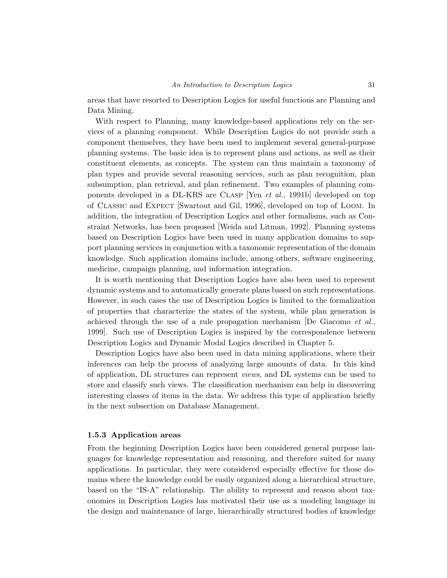areas that have resorted to Description Logics for useful functions are Planning and Data Mining.

With respect to Planning, many knowledge-based applications rely on the services of a planning component. While Description Logics do not provide such a component themselves, they have been used to implement several general-purpose planning systems. The basic idea is to represent plans and actions, as well as their constituent elements, as concepts. The system can thus maintain a taxonomy of plan types and provide several reasoning services, such as plan recognition, plan subsumption, plan retrieval, and plan refinement. Two examples of planning components developed in a DL-KRS are Clasp [Yen et al., 1991b] developed on top of Classic and Expect [Swartout and Gil, 1996], developed on top of Loom. In addition, the integration of Description Logics and other formalisms, such as Constraint Networks, has been proposed [Weida and Litman, 1992]. Planning systems based on Description Logics have been used in many application domains to support planning services in conjunction with a taxonomic representation of the domain knowledge. Such application domains include, among others, software engineering, medicine, campaign planning, and information integration.

It is worth mentioning that Description Logics have also been used to represent dynamic systems and to automatically generate plans based on such representations. However, in such cases the use of Description Logics is limited to the formalization of properties that characterize the states of the system, while plan generation is achieved through the use of a rule propagation mechanism  $|De Giacomo et al.,$ 1999]. Such use of Description Logics is inspired by the correspondence between Description Logics and Dynamic Modal Logics described in Chapter 5.

Description Logics have also been used in data mining applications, where their inferences can help the process of analyzing large amounts of data. In this kind of application, DL structures can represent views, and DL systems can be used to store and classify such views. The classification mechanism can help in discovering interesting classes of items in the data. We address this type of application briefly in the next subsection on Database Management.

#### 1.5.3 Application areas

From the beginning Description Logics have been considered general purpose languages for knowledge representation and reasoning, and therefore suited for many applications. In particular, they were considered especially effective for those domains where the knowledge could be easily organized along a hierarchical structure, based on the "IS-A" relationship. The ability to represent and reason about taxonomies in Description Logics has motivated their use as a modeling language in the design and maintenance of large, hierarchically structured bodies of knowledge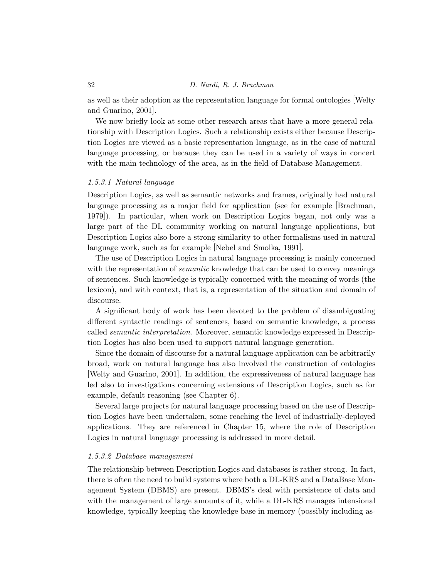as well as their adoption as the representation language for formal ontologies [Welty and Guarino, 2001].

We now briefly look at some other research areas that have a more general relationship with Description Logics. Such a relationship exists either because Description Logics are viewed as a basic representation language, as in the case of natural language processing, or because they can be used in a variety of ways in concert with the main technology of the area, as in the field of Database Management.

#### 1.5.3.1 Natural language

Description Logics, as well as semantic networks and frames, originally had natural language processing as a major field for application (see for example [Brachman, 1979]). In particular, when work on Description Logics began, not only was a large part of the DL community working on natural language applications, but Description Logics also bore a strong similarity to other formalisms used in natural language work, such as for example [Nebel and Smolka, 1991].

The use of Description Logics in natural language processing is mainly concerned with the representation of *semantic* knowledge that can be used to convey meanings of sentences. Such knowledge is typically concerned with the meaning of words (the lexicon), and with context, that is, a representation of the situation and domain of discourse.

A significant body of work has been devoted to the problem of disambiguating different syntactic readings of sentences, based on semantic knowledge, a process called semantic interpretation. Moreover, semantic knowledge expressed in Description Logics has also been used to support natural language generation.

Since the domain of discourse for a natural language application can be arbitrarily broad, work on natural language has also involved the construction of ontologies [Welty and Guarino, 2001]. In addition, the expressiveness of natural language has led also to investigations concerning extensions of Description Logics, such as for example, default reasoning (see Chapter 6).

Several large projects for natural language processing based on the use of Description Logics have been undertaken, some reaching the level of industrially-deployed applications. They are referenced in Chapter 15, where the role of Description Logics in natural language processing is addressed in more detail.

#### 1.5.3.2 Database management

The relationship between Description Logics and databases is rather strong. In fact, there is often the need to build systems where both a DL-KRS and a DataBase Management System (DBMS) are present. DBMS's deal with persistence of data and with the management of large amounts of it, while a DL-KRS manages intensional knowledge, typically keeping the knowledge base in memory (possibly including as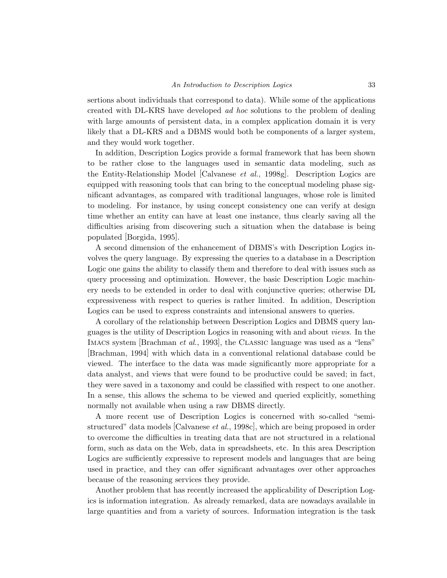sertions about individuals that correspond to data). While some of the applications created with DL-KRS have developed ad hoc solutions to the problem of dealing with large amounts of persistent data, in a complex application domain it is very likely that a DL-KRS and a DBMS would both be components of a larger system, and they would work together.

In addition, Description Logics provide a formal framework that has been shown to be rather close to the languages used in semantic data modeling, such as the Entity-Relationship Model  $\vert$ Calvanese *et al.*, 1998g. Description Logics are equipped with reasoning tools that can bring to the conceptual modeling phase significant advantages, as compared with traditional languages, whose role is limited to modeling. For instance, by using concept consistency one can verify at design time whether an entity can have at least one instance, thus clearly saving all the difficulties arising from discovering such a situation when the database is being populated [Borgida, 1995].

A second dimension of the enhancement of DBMS's with Description Logics involves the query language. By expressing the queries to a database in a Description Logic one gains the ability to classify them and therefore to deal with issues such as query processing and optimization. However, the basic Description Logic machinery needs to be extended in order to deal with conjunctive queries; otherwise DL expressiveness with respect to queries is rather limited. In addition, Description Logics can be used to express constraints and intensional answers to queries.

A corollary of the relationship between Description Logics and DBMS query languages is the utility of Description Logics in reasoning with and about views. In the IMACS system [Brachman *et al.*, 1993], the CLASSIC language was used as a "lens" [Brachman, 1994] with which data in a conventional relational database could be viewed. The interface to the data was made significantly more appropriate for a data analyst, and views that were found to be productive could be saved; in fact, they were saved in a taxonomy and could be classified with respect to one another. In a sense, this allows the schema to be viewed and queried explicitly, something normally not available when using a raw DBMS directly.

A more recent use of Description Logics is concerned with so-called "semistructured" data models [Calvanese et al., 1998c], which are being proposed in order to overcome the difficulties in treating data that are not structured in a relational form, such as data on the Web, data in spreadsheets, etc. In this area Description Logics are sufficiently expressive to represent models and languages that are being used in practice, and they can offer significant advantages over other approaches because of the reasoning services they provide.

Another problem that has recently increased the applicability of Description Logics is information integration. As already remarked, data are nowadays available in large quantities and from a variety of sources. Information integration is the task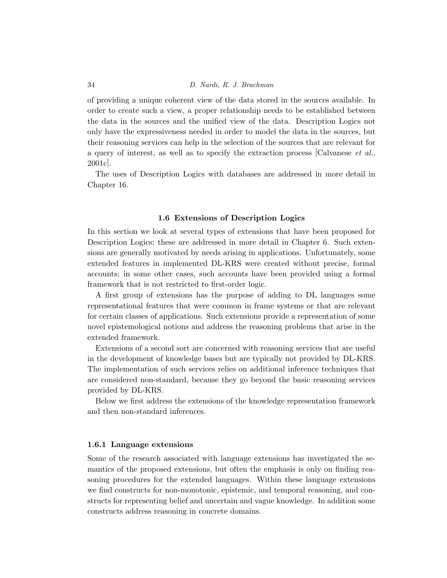of providing a unique coherent view of the data stored in the sources available. In order to create such a view, a proper relationship needs to be established between the data in the sources and the unified view of the data. Description Logics not only have the expressiveness needed in order to model the data in the sources, but their reasoning services can help in the selection of the sources that are relevant for a query of interest, as well as to specify the extraction process [Calvanese et al., 2001c].

The uses of Description Logics with databases are addressed in more detail in Chapter 16.

#### 1.6 Extensions of Description Logics

In this section we look at several types of extensions that have been proposed for Description Logics; these are addressed in more detail in Chapter 6. Such extensions are generally motivated by needs arising in applications. Unfortunately, some extended features in implemented DL-KRS were created without precise, formal accounts; in some other cases, such accounts have been provided using a formal framework that is not restricted to first-order logic.

A first group of extensions has the purpose of adding to DL languages some representational features that were common in frame systems or that are relevant for certain classes of applications. Such extensions provide a representation of some novel epistemological notions and address the reasoning problems that arise in the extended framework.

Extensions of a second sort are concerned with reasoning services that are useful in the development of knowledge bases but are typically not provided by DL-KRS. The implementation of such services relies on additional inference techniques that are considered non-standard, because they go beyond the basic reasoning services provided by DL-KRS.

Below we first address the extensions of the knowledge representation framework and then non-standard inferences.

#### 1.6.1 Language extensions

Some of the research associated with language extensions has investigated the semantics of the proposed extensions, but often the emphasis is only on finding reasoning procedures for the extended languages. Within these language extensions we find constructs for non-monotonic, epistemic, and temporal reasoning, and constructs for representing belief and uncertain and vague knowledge. In addition some constructs address reasoning in concrete domains.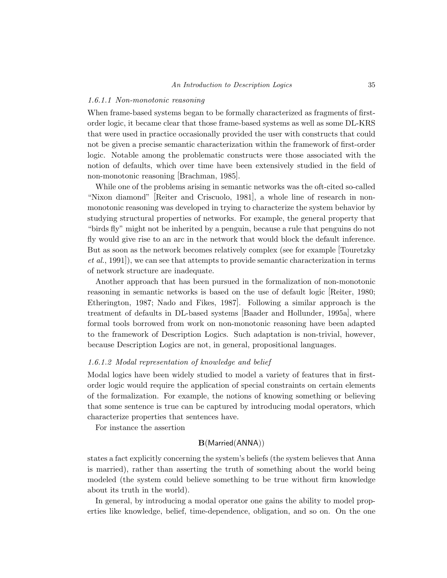#### 1.6.1.1 Non-monotonic reasoning

When frame-based systems began to be formally characterized as fragments of firstorder logic, it became clear that those frame-based systems as well as some DL-KRS that were used in practice occasionally provided the user with constructs that could not be given a precise semantic characterization within the framework of first-order logic. Notable among the problematic constructs were those associated with the notion of defaults, which over time have been extensively studied in the field of non-monotonic reasoning [Brachman, 1985].

While one of the problems arising in semantic networks was the oft-cited so-called "Nixon diamond" [Reiter and Criscuolo, 1981], a whole line of research in nonmonotonic reasoning was developed in trying to characterize the system behavior by studying structural properties of networks. For example, the general property that "birds fly" might not be inherited by a penguin, because a rule that penguins do not fly would give rise to an arc in the network that would block the default inference. But as soon as the network becomes relatively complex (see for example [Touretzky et al., 1991]), we can see that attempts to provide semantic characterization in terms of network structure are inadequate.

Another approach that has been pursued in the formalization of non-monotonic reasoning in semantic networks is based on the use of default logic [Reiter, 1980; Etherington, 1987; Nado and Fikes, 1987]. Following a similar approach is the treatment of defaults in DL-based systems [Baader and Hollunder, 1995a], where formal tools borrowed from work on non-monotonic reasoning have been adapted to the framework of Description Logics. Such adaptation is non-trivial, however, because Description Logics are not, in general, propositional languages.

## 1.6.1.2 Modal representation of knowledge and belief

Modal logics have been widely studied to model a variety of features that in firstorder logic would require the application of special constraints on certain elements of the formalization. For example, the notions of knowing something or believing that some sentence is true can be captured by introducing modal operators, which characterize properties that sentences have.

For instance the assertion

#### B(Married(ANNA))

states a fact explicitly concerning the system's beliefs (the system believes that Anna is married), rather than asserting the truth of something about the world being modeled (the system could believe something to be true without firm knowledge about its truth in the world).

In general, by introducing a modal operator one gains the ability to model properties like knowledge, belief, time-dependence, obligation, and so on. On the one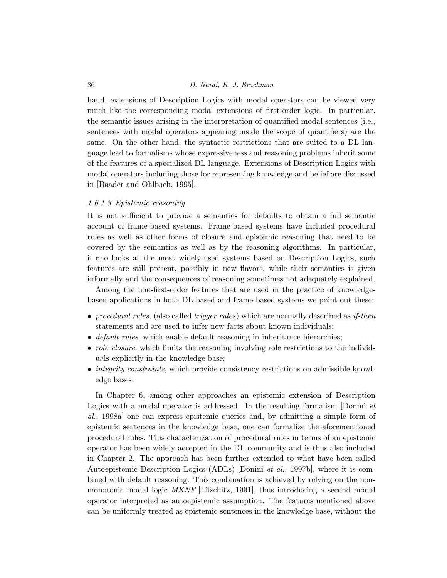hand, extensions of Description Logics with modal operators can be viewed very much like the corresponding modal extensions of first-order logic. In particular, the semantic issues arising in the interpretation of quantified modal sentences (i.e., sentences with modal operators appearing inside the scope of quantifiers) are the same. On the other hand, the syntactic restrictions that are suited to a DL language lead to formalisms whose expressiveness and reasoning problems inherit some of the features of a specialized DL language. Extensions of Description Logics with modal operators including those for representing knowledge and belief are discussed in [Baader and Ohlbach, 1995].

#### 1.6.1.3 Epistemic reasoning

It is not sufficient to provide a semantics for defaults to obtain a full semantic account of frame-based systems. Frame-based systems have included procedural rules as well as other forms of closure and epistemic reasoning that need to be covered by the semantics as well as by the reasoning algorithms. In particular, if one looks at the most widely-used systems based on Description Logics, such features are still present, possibly in new flavors, while their semantics is given informally and the consequences of reasoning sometimes not adequately explained.

Among the non-first-order features that are used in the practice of knowledgebased applications in both DL-based and frame-based systems we point out these:

- procedural rules, (also called trigger rules) which are normally described as if-then statements and are used to infer new facts about known individuals;
- default rules, which enable default reasoning in inheritance hierarchies;
- *role closure*, which limits the reasoning involving role restrictions to the individuals explicitly in the knowledge base;
- *integrity constraints*, which provide consistency restrictions on admissible knowledge bases.

In Chapter 6, among other approaches an epistemic extension of Description Logics with a modal operator is addressed. In the resulting formalism Donini *et* al., 1998a] one can express epistemic queries and, by admitting a simple form of epistemic sentences in the knowledge base, one can formalize the aforementioned procedural rules. This characterization of procedural rules in terms of an epistemic operator has been widely accepted in the DL community and is thus also included in Chapter 2. The approach has been further extended to what have been called Autoepistemic Description Logics (ADLs) [Donini et al., 1997b], where it is combined with default reasoning. This combination is achieved by relying on the nonmonotonic modal logic *MKNF* [Lifschitz, 1991], thus introducing a second modal operator interpreted as autoepistemic assumption. The features mentioned above can be uniformly treated as epistemic sentences in the knowledge base, without the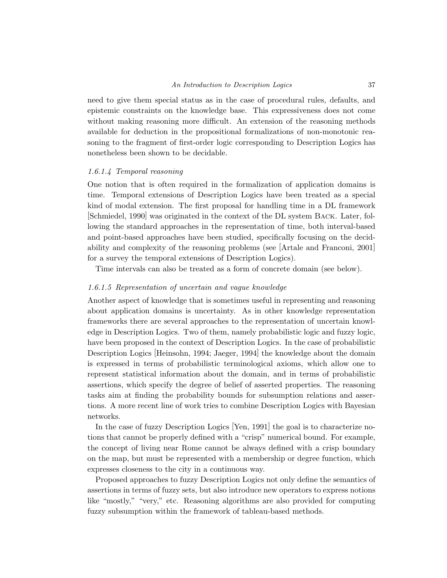need to give them special status as in the case of procedural rules, defaults, and epistemic constraints on the knowledge base. This expressiveness does not come without making reasoning more difficult. An extension of the reasoning methods available for deduction in the propositional formalizations of non-monotonic reasoning to the fragment of first-order logic corresponding to Description Logics has nonetheless been shown to be decidable.

#### 1.6.1.4 Temporal reasoning

One notion that is often required in the formalization of application domains is time. Temporal extensions of Description Logics have been treated as a special kind of modal extension. The first proposal for handling time in a DL framework [Schmiedel, 1990] was originated in the context of the DL system Back. Later, following the standard approaches in the representation of time, both interval-based and point-based approaches have been studied, specifically focusing on the decidability and complexity of the reasoning problems (see [Artale and Franconi, 2001] for a survey the temporal extensions of Description Logics).

Time intervals can also be treated as a form of concrete domain (see below).

#### 1.6.1.5 Representation of uncertain and vague knowledge

Another aspect of knowledge that is sometimes useful in representing and reasoning about application domains is uncertainty. As in other knowledge representation frameworks there are several approaches to the representation of uncertain knowledge in Description Logics. Two of them, namely probabilistic logic and fuzzy logic, have been proposed in the context of Description Logics. In the case of probabilistic Description Logics [Heinsohn, 1994; Jaeger, 1994] the knowledge about the domain is expressed in terms of probabilistic terminological axioms, which allow one to represent statistical information about the domain, and in terms of probabilistic assertions, which specify the degree of belief of asserted properties. The reasoning tasks aim at finding the probability bounds for subsumption relations and assertions. A more recent line of work tries to combine Description Logics with Bayesian networks.

In the case of fuzzy Description Logics [Yen, 1991] the goal is to characterize notions that cannot be properly defined with a "crisp" numerical bound. For example, the concept of living near Rome cannot be always defined with a crisp boundary on the map, but must be represented with a membership or degree function, which expresses closeness to the city in a continuous way.

Proposed approaches to fuzzy Description Logics not only define the semantics of assertions in terms of fuzzy sets, but also introduce new operators to express notions like "mostly," "very," etc. Reasoning algorithms are also provided for computing fuzzy subsumption within the framework of tableau-based methods.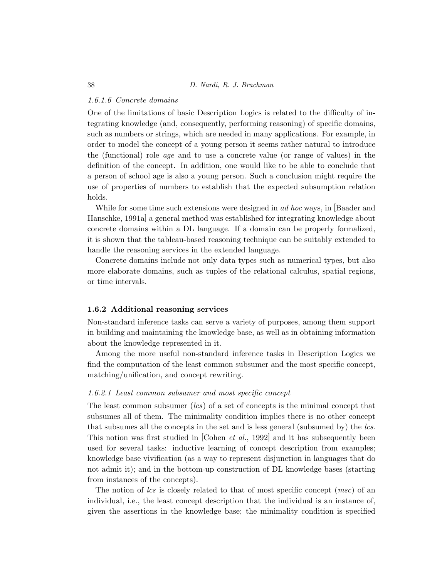## 1.6.1.6 Concrete domains

One of the limitations of basic Description Logics is related to the difficulty of integrating knowledge (and, consequently, performing reasoning) of specific domains, such as numbers or strings, which are needed in many applications. For example, in order to model the concept of a young person it seems rather natural to introduce the (functional) role age and to use a concrete value (or range of values) in the definition of the concept. In addition, one would like to be able to conclude that a person of school age is also a young person. Such a conclusion might require the use of properties of numbers to establish that the expected subsumption relation holds.

While for some time such extensions were designed in ad hoc ways, in Baader and Hanschke, 1991a] a general method was established for integrating knowledge about concrete domains within a DL language. If a domain can be properly formalized, it is shown that the tableau-based reasoning technique can be suitably extended to handle the reasoning services in the extended language.

Concrete domains include not only data types such as numerical types, but also more elaborate domains, such as tuples of the relational calculus, spatial regions, or time intervals.

#### 1.6.2 Additional reasoning services

Non-standard inference tasks can serve a variety of purposes, among them support in building and maintaining the knowledge base, as well as in obtaining information about the knowledge represented in it.

Among the more useful non-standard inference tasks in Description Logics we find the computation of the least common subsumer and the most specific concept, matching/unification, and concept rewriting.

## 1.6.2.1 Least common subsumer and most specific concept

The least common subsumer  $(lcs)$  of a set of concepts is the minimal concept that subsumes all of them. The minimality condition implies there is no other concept that subsumes all the concepts in the set and is less general (subsumed by) the lcs. This notion was first studied in [Cohen *et al.*, 1992] and it has subsequently been used for several tasks: inductive learning of concept description from examples; knowledge base vivification (as a way to represent disjunction in languages that do not admit it); and in the bottom-up construction of DL knowledge bases (starting from instances of the concepts).

The notion of lcs is closely related to that of most specific concept (msc) of an individual, i.e., the least concept description that the individual is an instance of, given the assertions in the knowledge base; the minimality condition is specified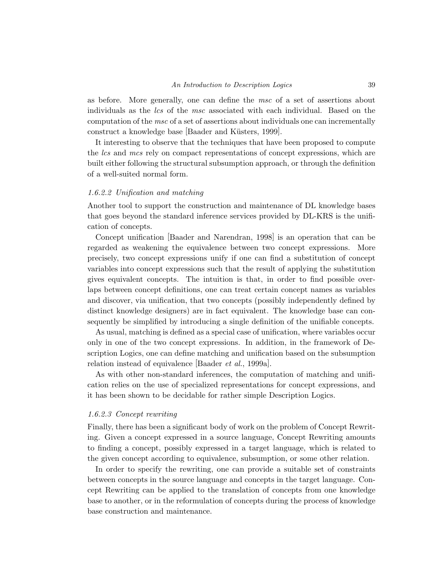as before. More generally, one can define the msc of a set of assertions about individuals as the lcs of the msc associated with each individual. Based on the computation of the msc of a set of assertions about individuals one can incrementally construct a knowledge base [Baader and Küsters, 1999].

It interesting to observe that the techniques that have been proposed to compute the *lcs* and *mcs* rely on compact representations of concept expressions, which are built either following the structural subsumption approach, or through the definition of a well-suited normal form.

## 1.6.2.2 Unification and matching

Another tool to support the construction and maintenance of DL knowledge bases that goes beyond the standard inference services provided by DL-KRS is the unification of concepts.

Concept unification [Baader and Narendran, 1998] is an operation that can be regarded as weakening the equivalence between two concept expressions. More precisely, two concept expressions unify if one can find a substitution of concept variables into concept expressions such that the result of applying the substitution gives equivalent concepts. The intuition is that, in order to find possible overlaps between concept definitions, one can treat certain concept names as variables and discover, via unification, that two concepts (possibly independently defined by distinct knowledge designers) are in fact equivalent. The knowledge base can consequently be simplified by introducing a single definition of the unifiable concepts.

As usual, matching is defined as a special case of unification, where variables occur only in one of the two concept expressions. In addition, in the framework of Description Logics, one can define matching and unification based on the subsumption relation instead of equivalence [Baader et al., 1999a].

As with other non-standard inferences, the computation of matching and unification relies on the use of specialized representations for concept expressions, and it has been shown to be decidable for rather simple Description Logics.

#### 1.6.2.3 Concept rewriting

Finally, there has been a significant body of work on the problem of Concept Rewriting. Given a concept expressed in a source language, Concept Rewriting amounts to finding a concept, possibly expressed in a target language, which is related to the given concept according to equivalence, subsumption, or some other relation.

In order to specify the rewriting, one can provide a suitable set of constraints between concepts in the source language and concepts in the target language. Concept Rewriting can be applied to the translation of concepts from one knowledge base to another, or in the reformulation of concepts during the process of knowledge base construction and maintenance.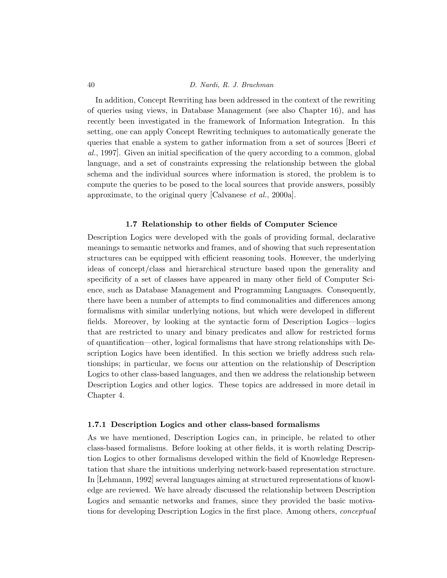In addition, Concept Rewriting has been addressed in the context of the rewriting of queries using views, in Database Management (see also Chapter 16), and has recently been investigated in the framework of Information Integration. In this setting, one can apply Concept Rewriting techniques to automatically generate the queries that enable a system to gather information from a set of sources [Beeri et al., 1997]. Given an initial specification of the query according to a common, global language, and a set of constraints expressing the relationship between the global schema and the individual sources where information is stored, the problem is to compute the queries to be posed to the local sources that provide answers, possibly approximate, to the original query  $|Calvanese et al., 2000a|.$ 

## 1.7 Relationship to other fields of Computer Science

Description Logics were developed with the goals of providing formal, declarative meanings to semantic networks and frames, and of showing that such representation structures can be equipped with efficient reasoning tools. However, the underlying ideas of concept/class and hierarchical structure based upon the generality and specificity of a set of classes have appeared in many other field of Computer Science, such as Database Management and Programming Languages. Consequently, there have been a number of attempts to find commonalities and differences among formalisms with similar underlying notions, but which were developed in different fields. Moreover, by looking at the syntactic form of Description Logics—logics that are restricted to unary and binary predicates and allow for restricted forms of quantification—other, logical formalisms that have strong relationships with Description Logics have been identified. In this section we briefly address such relationships; in particular, we focus our attention on the relationship of Description Logics to other class-based languages, and then we address the relationship between Description Logics and other logics. These topics are addressed in more detail in Chapter 4.

#### 1.7.1 Description Logics and other class-based formalisms

As we have mentioned, Description Logics can, in principle, be related to other class-based formalisms. Before looking at other fields, it is worth relating Description Logics to other formalisms developed within the field of Knowledge Representation that share the intuitions underlying network-based representation structure. In [Lehmann, 1992] several languages aiming at structured representations of knowledge are reviewed. We have already discussed the relationship between Description Logics and semantic networks and frames, since they provided the basic motivations for developing Description Logics in the first place. Among others, conceptual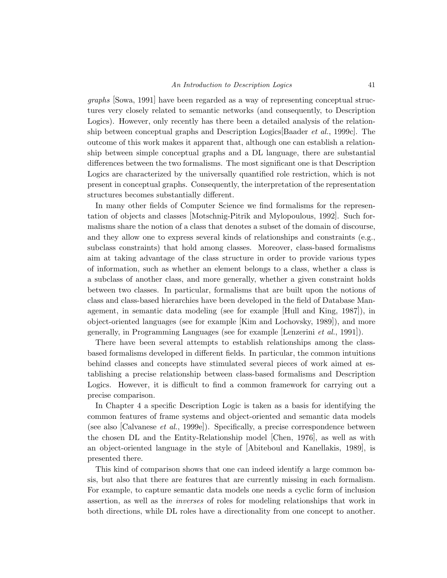graphs [Sowa, 1991] have been regarded as a way of representing conceptual structures very closely related to semantic networks (and consequently, to Description Logics). However, only recently has there been a detailed analysis of the relationship between conceptual graphs and Description Logics[Baader et al., 1999c]. The outcome of this work makes it apparent that, although one can establish a relationship between simple conceptual graphs and a DL language, there are substantial differences between the two formalisms. The most significant one is that Description Logics are characterized by the universally quantified role restriction, which is not present in conceptual graphs. Consequently, the interpretation of the representation structures becomes substantially different.

In many other fields of Computer Science we find formalisms for the representation of objects and classes [Motschnig-Pitrik and Mylopoulous, 1992]. Such formalisms share the notion of a class that denotes a subset of the domain of discourse, and they allow one to express several kinds of relationships and constraints (e.g., subclass constraints) that hold among classes. Moreover, class-based formalisms aim at taking advantage of the class structure in order to provide various types of information, such as whether an element belongs to a class, whether a class is a subclass of another class, and more generally, whether a given constraint holds between two classes. In particular, formalisms that are built upon the notions of class and class-based hierarchies have been developed in the field of Database Management, in semantic data modeling (see for example [Hull and King, 1987]), in object-oriented languages (see for example [Kim and Lochovsky, 1989]), and more generally, in Programming Languages (see for example [Lenzerini et al., 1991]).

There have been several attempts to establish relationships among the classbased formalisms developed in different fields. In particular, the common intuitions behind classes and concepts have stimulated several pieces of work aimed at establishing a precise relationship between class-based formalisms and Description Logics. However, it is difficult to find a common framework for carrying out a precise comparison.

In Chapter 4 a specific Description Logic is taken as a basis for identifying the common features of frame systems and object-oriented and semantic data models (see also [Calvanese *et al.*, 1999e]). Specifically, a precise correspondence between the chosen DL and the Entity-Relationship model [Chen, 1976], as well as with an object-oriented language in the style of [Abiteboul and Kanellakis, 1989], is presented there.

This kind of comparison shows that one can indeed identify a large common basis, but also that there are features that are currently missing in each formalism. For example, to capture semantic data models one needs a cyclic form of inclusion assertion, as well as the inverses of roles for modeling relationships that work in both directions, while DL roles have a directionality from one concept to another.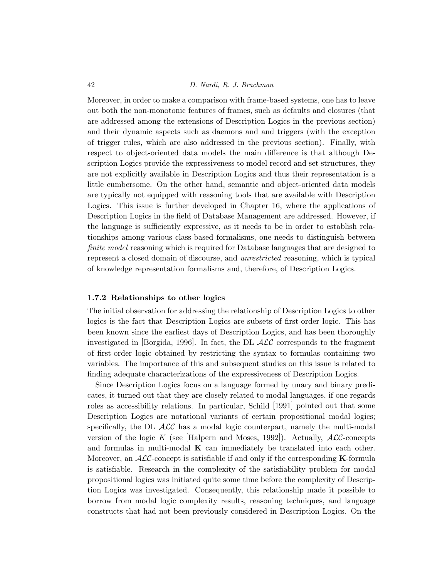Moreover, in order to make a comparison with frame-based systems, one has to leave out both the non-monotonic features of frames, such as defaults and closures (that are addressed among the extensions of Description Logics in the previous section) and their dynamic aspects such as daemons and and triggers (with the exception of trigger rules, which are also addressed in the previous section). Finally, with respect to object-oriented data models the main difference is that although Description Logics provide the expressiveness to model record and set structures, they are not explicitly available in Description Logics and thus their representation is a little cumbersome. On the other hand, semantic and object-oriented data models are typically not equipped with reasoning tools that are available with Description Logics. This issue is further developed in Chapter 16, where the applications of Description Logics in the field of Database Management are addressed. However, if the language is sufficiently expressive, as it needs to be in order to establish relationships among various class-based formalisms, one needs to distinguish between finite model reasoning which is required for Database languages that are designed to represent a closed domain of discourse, and unrestricted reasoning, which is typical of knowledge representation formalisms and, therefore, of Description Logics.

#### 1.7.2 Relationships to other logics

The initial observation for addressing the relationship of Description Logics to other logics is the fact that Description Logics are subsets of first-order logic. This has been known since the earliest days of Description Logics, and has been thoroughly investigated in [Borgida, 1996]. In fact, the DL  $\mathcal{ALC}$  corresponds to the fragment of first-order logic obtained by restricting the syntax to formulas containing two variables. The importance of this and subsequent studies on this issue is related to finding adequate characterizations of the expressiveness of Description Logics.

Since Description Logics focus on a language formed by unary and binary predicates, it turned out that they are closely related to modal languages, if one regards roles as accessibility relations. In particular, Schild [1991] pointed out that some Description Logics are notational variants of certain propositional modal logics; specifically, the DL  $\mathcal{ALC}$  has a modal logic counterpart, namely the multi-modal version of the logic K (see [Halpern and Moses, 1992]). Actually,  $\mathcal{ALC}$ -concepts and formulas in multi-modal  $\bf{K}$  can immediately be translated into each other. Moreover, an  $\mathcal{ALC}$ -concept is satisfiable if and only if the corresponding **K**-formula is satisfiable. Research in the complexity of the satisfiability problem for modal propositional logics was initiated quite some time before the complexity of Description Logics was investigated. Consequently, this relationship made it possible to borrow from modal logic complexity results, reasoning techniques, and language constructs that had not been previously considered in Description Logics. On the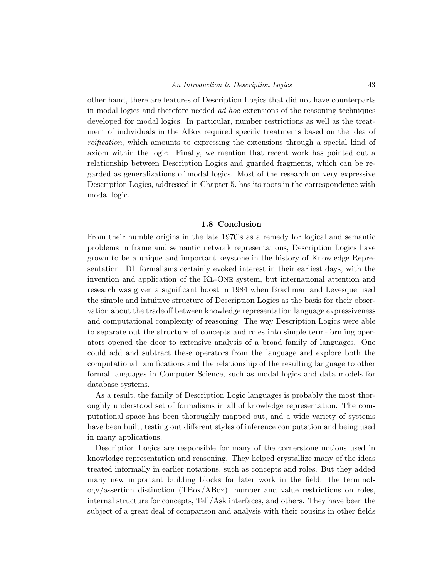other hand, there are features of Description Logics that did not have counterparts in modal logics and therefore needed ad hoc extensions of the reasoning techniques developed for modal logics. In particular, number restrictions as well as the treatment of individuals in the ABox required specific treatments based on the idea of reification, which amounts to expressing the extensions through a special kind of axiom within the logic. Finally, we mention that recent work has pointed out a relationship between Description Logics and guarded fragments, which can be regarded as generalizations of modal logics. Most of the research on very expressive Description Logics, addressed in Chapter 5, has its roots in the correspondence with modal logic.

## 1.8 Conclusion

From their humble origins in the late 1970's as a remedy for logical and semantic problems in frame and semantic network representations, Description Logics have grown to be a unique and important keystone in the history of Knowledge Representation. DL formalisms certainly evoked interest in their earliest days, with the invention and application of the Kl-One system, but international attention and research was given a significant boost in 1984 when Brachman and Levesque used the simple and intuitive structure of Description Logics as the basis for their observation about the tradeoff between knowledge representation language expressiveness and computational complexity of reasoning. The way Description Logics were able to separate out the structure of concepts and roles into simple term-forming operators opened the door to extensive analysis of a broad family of languages. One could add and subtract these operators from the language and explore both the computational ramifications and the relationship of the resulting language to other formal languages in Computer Science, such as modal logics and data models for database systems.

As a result, the family of Description Logic languages is probably the most thoroughly understood set of formalisms in all of knowledge representation. The computational space has been thoroughly mapped out, and a wide variety of systems have been built, testing out different styles of inference computation and being used in many applications.

Description Logics are responsible for many of the cornerstone notions used in knowledge representation and reasoning. They helped crystallize many of the ideas treated informally in earlier notations, such as concepts and roles. But they added many new important building blocks for later work in the field: the terminology/assertion distinction (TBox/ABox), number and value restrictions on roles, internal structure for concepts, Tell/Ask interfaces, and others. They have been the subject of a great deal of comparison and analysis with their cousins in other fields